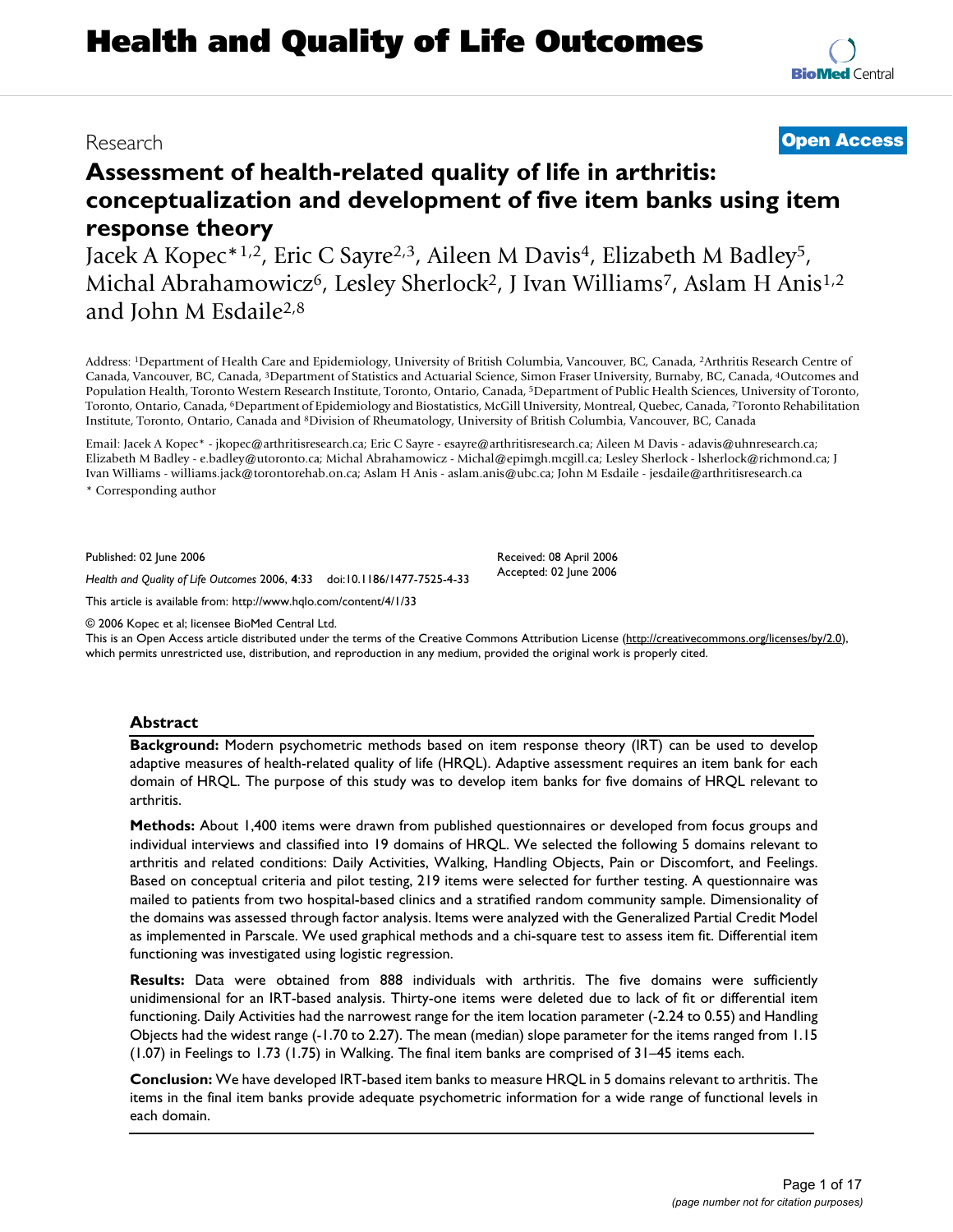# **Assessment of health-related quality of life in arthritis: conceptualization and development of five item banks using item response theory**

Jacek A Kopec<sup>\*1,2</sup>, Eric C Sayre<sup>2,3</sup>, Aileen M Davis<sup>4</sup>, Elizabeth M Badley<sup>5</sup>, Michal Abrahamowicz<sup>6</sup>, Lesley Sherlock<sup>2</sup>, J Ivan Williams<sup>7</sup>, Aslam H Anis<sup>1,2</sup> and John M Esdaile<sup>2,8</sup>

Address: 1Department of Health Care and Epidemiology, University of British Columbia, Vancouver, BC, Canada, 2Arthritis Research Centre of Canada, Vancouver, BC, Canada, 3Department of Statistics and Actuarial Science, Simon Fraser University, Burnaby, BC, Canada, 4Outcomes and Population Health, Toronto Western Research Institute, Toronto, Ontario, Canada, 5Department of Public Health Sciences, University of Toronto, Toronto, Ontario, Canada, 6Department of Epidemiology and Biostatistics, McGill University, Montreal, Quebec, Canada, 7Toronto Rehabilitation Institute, Toronto, Ontario, Canada and 8Division of Rheumatology, University of British Columbia, Vancouver, BC, Canada

Email: Jacek A Kopec\* - jkopec@arthritisresearch.ca; Eric C Sayre - esayre@arthritisresearch.ca; Aileen M Davis - adavis@uhnresearch.ca; Elizabeth M Badley - e.badley@utoronto.ca; Michal Abrahamowicz - Michal@epimgh.mcgill.ca; Lesley Sherlock - lsherlock@richmond.ca; J Ivan Williams - williams.jack@torontorehab.on.ca; Aslam H Anis - aslam.anis@ubc.ca; John M Esdaile - jesdaile@arthritisresearch.ca \* Corresponding author

Published: 02 June 2006

*Health and Quality of Life Outcomes* 2006, **4**:33 doi:10.1186/1477-7525-4-33

[This article is available from: http://www.hqlo.com/content/4/1/33](http://www.hqlo.com/content/4/1/33)

© 2006 Kopec et al; licensee BioMed Central Ltd.

This is an Open Access article distributed under the terms of the Creative Commons Attribution License [\(http://creativecommons.org/licenses/by/2.0\)](http://creativecommons.org/licenses/by/2.0), which permits unrestricted use, distribution, and reproduction in any medium, provided the original work is properly cited.

# **Abstract**

**Background:** Modern psychometric methods based on item response theory (IRT) can be used to develop adaptive measures of health-related quality of life (HRQL). Adaptive assessment requires an item bank for each domain of HRQL. The purpose of this study was to develop item banks for five domains of HRQL relevant to arthritis.

**Methods:** About 1,400 items were drawn from published questionnaires or developed from focus groups and individual interviews and classified into 19 domains of HRQL. We selected the following 5 domains relevant to arthritis and related conditions: Daily Activities, Walking, Handling Objects, Pain or Discomfort, and Feelings. Based on conceptual criteria and pilot testing, 219 items were selected for further testing. A questionnaire was mailed to patients from two hospital-based clinics and a stratified random community sample. Dimensionality of the domains was assessed through factor analysis. Items were analyzed with the Generalized Partial Credit Model as implemented in Parscale. We used graphical methods and a chi-square test to assess item fit. Differential item functioning was investigated using logistic regression.

**Results:** Data were obtained from 888 individuals with arthritis. The five domains were sufficiently unidimensional for an IRT-based analysis. Thirty-one items were deleted due to lack of fit or differential item functioning. Daily Activities had the narrowest range for the item location parameter (-2.24 to 0.55) and Handling Objects had the widest range (-1.70 to 2.27). The mean (median) slope parameter for the items ranged from 1.15 (1.07) in Feelings to 1.73 (1.75) in Walking. The final item banks are comprised of 31–45 items each.

**Conclusion:** We have developed IRT-based item banks to measure HRQL in 5 domains relevant to arthritis. The items in the final item banks provide adequate psychometric information for a wide range of functional levels in each domain.

# Research **[Open Access](http://www.biomedcentral.com/info/about/charter/)**

Received: 08 April 2006 Accepted: 02 June 2006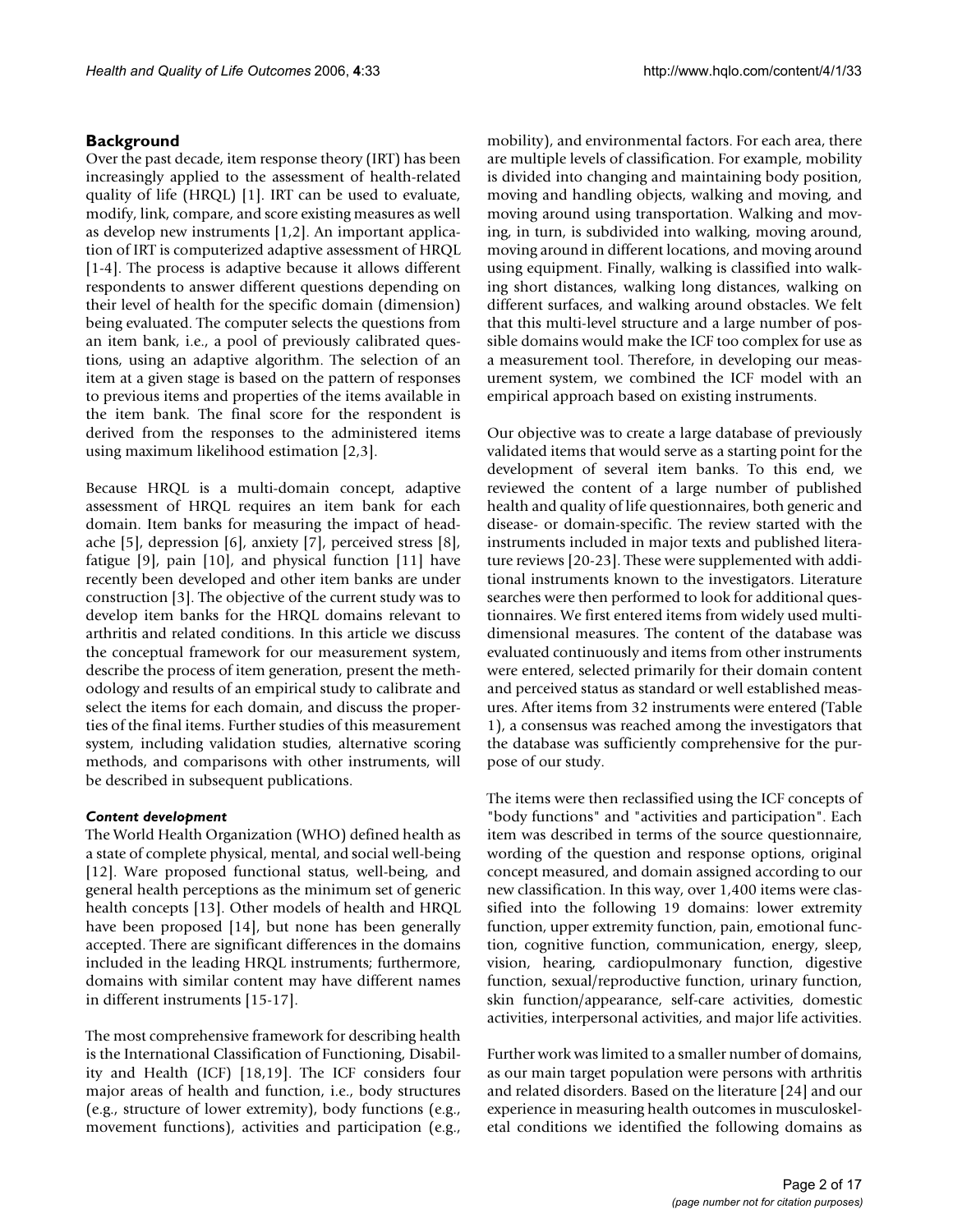# **Background**

Over the past decade, item response theory (IRT) has been increasingly applied to the assessment of health-related quality of life (HRQL) [1]. IRT can be used to evaluate, modify, link, compare, and score existing measures as well as develop new instruments [1,2]. An important application of IRT is computerized adaptive assessment of HRQL [1-4]. The process is adaptive because it allows different respondents to answer different questions depending on their level of health for the specific domain (dimension) being evaluated. The computer selects the questions from an item bank, i.e., a pool of previously calibrated questions, using an adaptive algorithm. The selection of an item at a given stage is based on the pattern of responses to previous items and properties of the items available in the item bank. The final score for the respondent is derived from the responses to the administered items using maximum likelihood estimation [2,3].

Because HRQL is a multi-domain concept, adaptive assessment of HRQL requires an item bank for each domain. Item banks for measuring the impact of headache [5], depression [6], anxiety [7], perceived stress [8], fatigue [9], pain [10], and physical function [11] have recently been developed and other item banks are under construction [3]. The objective of the current study was to develop item banks for the HRQL domains relevant to arthritis and related conditions. In this article we discuss the conceptual framework for our measurement system, describe the process of item generation, present the methodology and results of an empirical study to calibrate and select the items for each domain, and discuss the properties of the final items. Further studies of this measurement system, including validation studies, alternative scoring methods, and comparisons with other instruments, will be described in subsequent publications.

# *Content development*

The World Health Organization (WHO) defined health as a state of complete physical, mental, and social well-being [12]. Ware proposed functional status, well-being, and general health perceptions as the minimum set of generic health concepts [13]. Other models of health and HRQL have been proposed [14], but none has been generally accepted. There are significant differences in the domains included in the leading HRQL instruments; furthermore, domains with similar content may have different names in different instruments [15-17].

The most comprehensive framework for describing health is the International Classification of Functioning, Disability and Health (ICF) [18,19]. The ICF considers four major areas of health and function, i.e., body structures (e.g., structure of lower extremity), body functions (e.g., movement functions), activities and participation (e.g.,

mobility), and environmental factors. For each area, there are multiple levels of classification. For example, mobility is divided into changing and maintaining body position, moving and handling objects, walking and moving, and moving around using transportation. Walking and moving, in turn, is subdivided into walking, moving around, moving around in different locations, and moving around using equipment. Finally, walking is classified into walking short distances, walking long distances, walking on different surfaces, and walking around obstacles. We felt that this multi-level structure and a large number of possible domains would make the ICF too complex for use as a measurement tool. Therefore, in developing our measurement system, we combined the ICF model with an empirical approach based on existing instruments.

Our objective was to create a large database of previously validated items that would serve as a starting point for the development of several item banks. To this end, we reviewed the content of a large number of published health and quality of life questionnaires, both generic and disease- or domain-specific. The review started with the instruments included in major texts and published literature reviews [20-23]. These were supplemented with additional instruments known to the investigators. Literature searches were then performed to look for additional questionnaires. We first entered items from widely used multidimensional measures. The content of the database was evaluated continuously and items from other instruments were entered, selected primarily for their domain content and perceived status as standard or well established measures. After items from 32 instruments were entered (Table 1), a consensus was reached among the investigators that the database was sufficiently comprehensive for the purpose of our study.

The items were then reclassified using the ICF concepts of "body functions" and "activities and participation". Each item was described in terms of the source questionnaire, wording of the question and response options, original concept measured, and domain assigned according to our new classification. In this way, over 1,400 items were classified into the following 19 domains: lower extremity function, upper extremity function, pain, emotional function, cognitive function, communication, energy, sleep, vision, hearing, cardiopulmonary function, digestive function, sexual/reproductive function, urinary function, skin function/appearance, self-care activities, domestic activities, interpersonal activities, and major life activities.

Further work was limited to a smaller number of domains, as our main target population were persons with arthritis and related disorders. Based on the literature [24] and our experience in measuring health outcomes in musculoskeletal conditions we identified the following domains as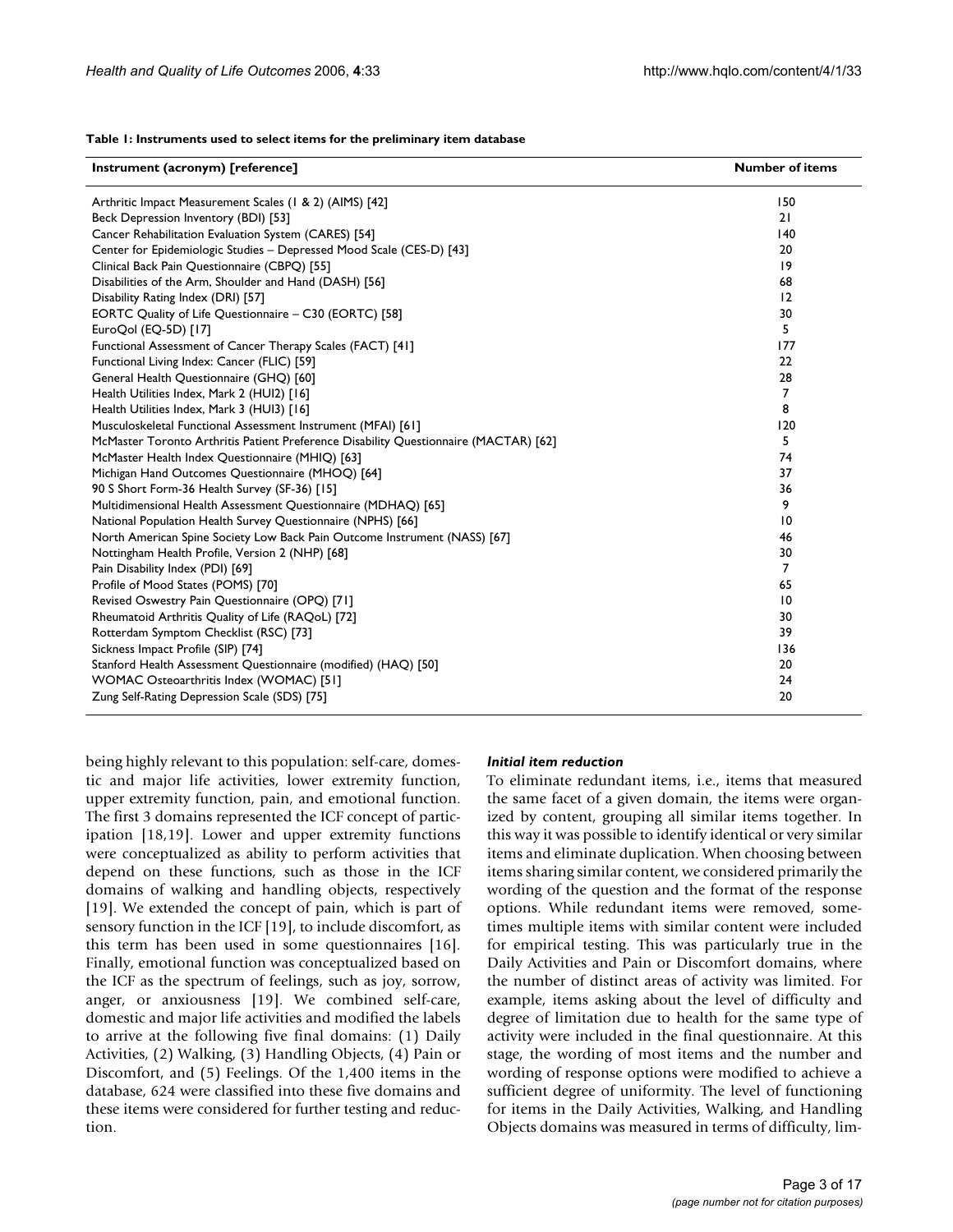| Instrument (acronym) [reference]                                                     | <b>Number of items</b> |  |  |  |
|--------------------------------------------------------------------------------------|------------------------|--|--|--|
| Arthritic Impact Measurement Scales (1 & 2) (AIMS) [42]                              | 150                    |  |  |  |
| Beck Depression Inventory (BDI) [53]                                                 | 21                     |  |  |  |
| Cancer Rehabilitation Evaluation System (CARES) [54]                                 | 140                    |  |  |  |
| Center for Epidemiologic Studies - Depressed Mood Scale (CES-D) [43]                 | 20                     |  |  |  |
| Clinical Back Pain Questionnaire (CBPQ) [55]                                         | 19                     |  |  |  |
| Disabilities of the Arm, Shoulder and Hand (DASH) [56]                               | 68                     |  |  |  |
| Disability Rating Index (DRI) [57]                                                   | 12                     |  |  |  |
| EORTC Quality of Life Questionnaire - C30 (EORTC) [58]                               | 30                     |  |  |  |
| EuroQol (EQ-5D) [17]                                                                 | 5.                     |  |  |  |
| Functional Assessment of Cancer Therapy Scales (FACT) [41]                           | 177                    |  |  |  |
| Functional Living Index: Cancer (FLIC) [59]                                          | 22                     |  |  |  |
| General Health Questionnaire (GHQ) [60]                                              | 28                     |  |  |  |
| Health Utilities Index, Mark 2 (HUI2) [16]                                           | 7                      |  |  |  |
| Health Utilities Index, Mark 3 (HUI3) [16]                                           | 8                      |  |  |  |
| Musculoskeletal Functional Assessment Instrument (MFAI) [61]                         | 120                    |  |  |  |
| McMaster Toronto Arthritis Patient Preference Disability Questionnaire (MACTAR) [62] | 5                      |  |  |  |
| McMaster Health Index Questionnaire (MHIQ) [63]                                      | 74                     |  |  |  |
| Michigan Hand Outcomes Questionnaire (MHOQ) [64]                                     | 37                     |  |  |  |
| 90 S Short Form-36 Health Survey (SF-36) [15]                                        | 36                     |  |  |  |
| Multidimensional Health Assessment Questionnaire (MDHAQ) [65]                        | 9                      |  |  |  |
| National Population Health Survey Questionnaire (NPHS) [66]                          | $\overline{10}$        |  |  |  |
| North American Spine Society Low Back Pain Outcome Instrument (NASS) [67]            | 46                     |  |  |  |
| Nottingham Health Profile, Version 2 (NHP) [68]                                      | 30                     |  |  |  |
| Pain Disability Index (PDI) [69]                                                     | 7                      |  |  |  |
| Profile of Mood States (POMS) [70]                                                   | 65                     |  |  |  |
| Revised Oswestry Pain Questionnaire (OPQ) [71]                                       | $\overline{10}$        |  |  |  |
| Rheumatoid Arthritis Quality of Life (RAQoL) [72]                                    | 30                     |  |  |  |
| Rotterdam Symptom Checklist (RSC) [73]                                               | 39                     |  |  |  |
| Sickness Impact Profile (SIP) [74]                                                   | 136                    |  |  |  |
| Stanford Health Assessment Questionnaire (modified) (HAQ) [50]                       | 20                     |  |  |  |
| WOMAC Osteoarthritis Index (WOMAC) [51]                                              | 24                     |  |  |  |
| Zung Self-Rating Depression Scale (SDS) [75]                                         | 20                     |  |  |  |

**Table 1: Instruments used to select items for the preliminary item database**

being highly relevant to this population: self-care, domestic and major life activities, lower extremity function, upper extremity function, pain, and emotional function. The first 3 domains represented the ICF concept of participation [18,19]. Lower and upper extremity functions were conceptualized as ability to perform activities that depend on these functions, such as those in the ICF domains of walking and handling objects, respectively [19]. We extended the concept of pain, which is part of sensory function in the ICF [19], to include discomfort, as this term has been used in some questionnaires [16]. Finally, emotional function was conceptualized based on the ICF as the spectrum of feelings, such as joy, sorrow, anger, or anxiousness [19]. We combined self-care, domestic and major life activities and modified the labels to arrive at the following five final domains: (1) Daily Activities, (2) Walking, (3) Handling Objects, (4) Pain or Discomfort, and (5) Feelings. Of the 1,400 items in the database, 624 were classified into these five domains and these items were considered for further testing and reduction.

# *Initial item reduction*

To eliminate redundant items, i.e., items that measured the same facet of a given domain, the items were organized by content, grouping all similar items together. In this way it was possible to identify identical or very similar items and eliminate duplication. When choosing between items sharing similar content, we considered primarily the wording of the question and the format of the response options. While redundant items were removed, sometimes multiple items with similar content were included for empirical testing. This was particularly true in the Daily Activities and Pain or Discomfort domains, where the number of distinct areas of activity was limited. For example, items asking about the level of difficulty and degree of limitation due to health for the same type of activity were included in the final questionnaire. At this stage, the wording of most items and the number and wording of response options were modified to achieve a sufficient degree of uniformity. The level of functioning for items in the Daily Activities, Walking, and Handling Objects domains was measured in terms of difficulty, lim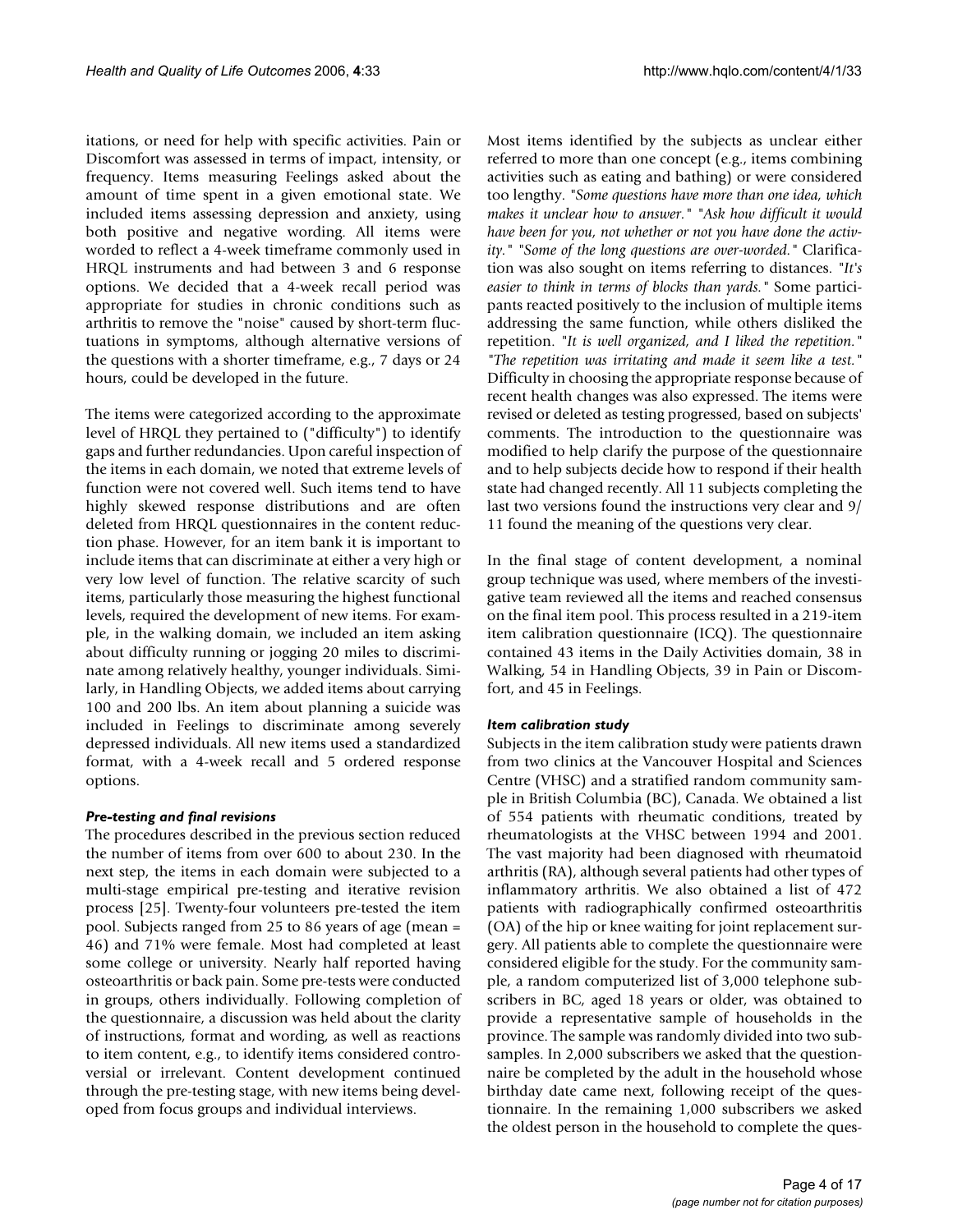itations, or need for help with specific activities. Pain or Discomfort was assessed in terms of impact, intensity, or frequency. Items measuring Feelings asked about the amount of time spent in a given emotional state. We included items assessing depression and anxiety, using both positive and negative wording. All items were worded to reflect a 4-week timeframe commonly used in HRQL instruments and had between 3 and 6 response options. We decided that a 4-week recall period was appropriate for studies in chronic conditions such as arthritis to remove the "noise" caused by short-term fluctuations in symptoms, although alternative versions of the questions with a shorter timeframe, e.g., 7 days or 24 hours, could be developed in the future.

The items were categorized according to the approximate level of HRQL they pertained to ("difficulty") to identify gaps and further redundancies. Upon careful inspection of the items in each domain, we noted that extreme levels of function were not covered well. Such items tend to have highly skewed response distributions and are often deleted from HRQL questionnaires in the content reduction phase. However, for an item bank it is important to include items that can discriminate at either a very high or very low level of function. The relative scarcity of such items, particularly those measuring the highest functional levels, required the development of new items. For example, in the walking domain, we included an item asking about difficulty running or jogging 20 miles to discriminate among relatively healthy, younger individuals. Similarly, in Handling Objects, we added items about carrying 100 and 200 lbs. An item about planning a suicide was included in Feelings to discriminate among severely depressed individuals. All new items used a standardized format, with a 4-week recall and 5 ordered response options.

#### *Pre-testing and final revisions*

The procedures described in the previous section reduced the number of items from over 600 to about 230. In the next step, the items in each domain were subjected to a multi-stage empirical pre-testing and iterative revision process [25]. Twenty-four volunteers pre-tested the item pool. Subjects ranged from 25 to 86 years of age (mean = 46) and 71% were female. Most had completed at least some college or university. Nearly half reported having osteoarthritis or back pain. Some pre-tests were conducted in groups, others individually. Following completion of the questionnaire, a discussion was held about the clarity of instructions, format and wording, as well as reactions to item content, e.g., to identify items considered controversial or irrelevant. Content development continued through the pre-testing stage, with new items being developed from focus groups and individual interviews.

Most items identified by the subjects as unclear either referred to more than one concept (e.g., items combining activities such as eating and bathing) or were considered too lengthy. *"Some questions have more than one idea, which makes it unclear how to answer." "Ask how difficult it would have been for you, not whether or not you have done the activity." "Some of the long questions are over-worded."* Clarification was also sought on items referring to distances. *"It's easier to think in terms of blocks than yards."* Some participants reacted positively to the inclusion of multiple items addressing the same function, while others disliked the repetition. *"It is well organized, and I liked the repetition." "The repetition was irritating and made it seem like a test."* Difficulty in choosing the appropriate response because of recent health changes was also expressed. The items were revised or deleted as testing progressed, based on subjects' comments. The introduction to the questionnaire was modified to help clarify the purpose of the questionnaire and to help subjects decide how to respond if their health state had changed recently. All 11 subjects completing the last two versions found the instructions very clear and 9/ 11 found the meaning of the questions very clear.

In the final stage of content development, a nominal group technique was used, where members of the investigative team reviewed all the items and reached consensus on the final item pool. This process resulted in a 219-item item calibration questionnaire (ICQ). The questionnaire contained 43 items in the Daily Activities domain, 38 in Walking, 54 in Handling Objects, 39 in Pain or Discomfort, and 45 in Feelings.

### *Item calibration study*

Subjects in the item calibration study were patients drawn from two clinics at the Vancouver Hospital and Sciences Centre (VHSC) and a stratified random community sample in British Columbia (BC), Canada. We obtained a list of 554 patients with rheumatic conditions, treated by rheumatologists at the VHSC between 1994 and 2001. The vast majority had been diagnosed with rheumatoid arthritis (RA), although several patients had other types of inflammatory arthritis. We also obtained a list of 472 patients with radiographically confirmed osteoarthritis (OA) of the hip or knee waiting for joint replacement surgery. All patients able to complete the questionnaire were considered eligible for the study. For the community sample, a random computerized list of 3,000 telephone subscribers in BC, aged 18 years or older, was obtained to provide a representative sample of households in the province. The sample was randomly divided into two subsamples. In 2,000 subscribers we asked that the questionnaire be completed by the adult in the household whose birthday date came next, following receipt of the questionnaire. In the remaining 1,000 subscribers we asked the oldest person in the household to complete the ques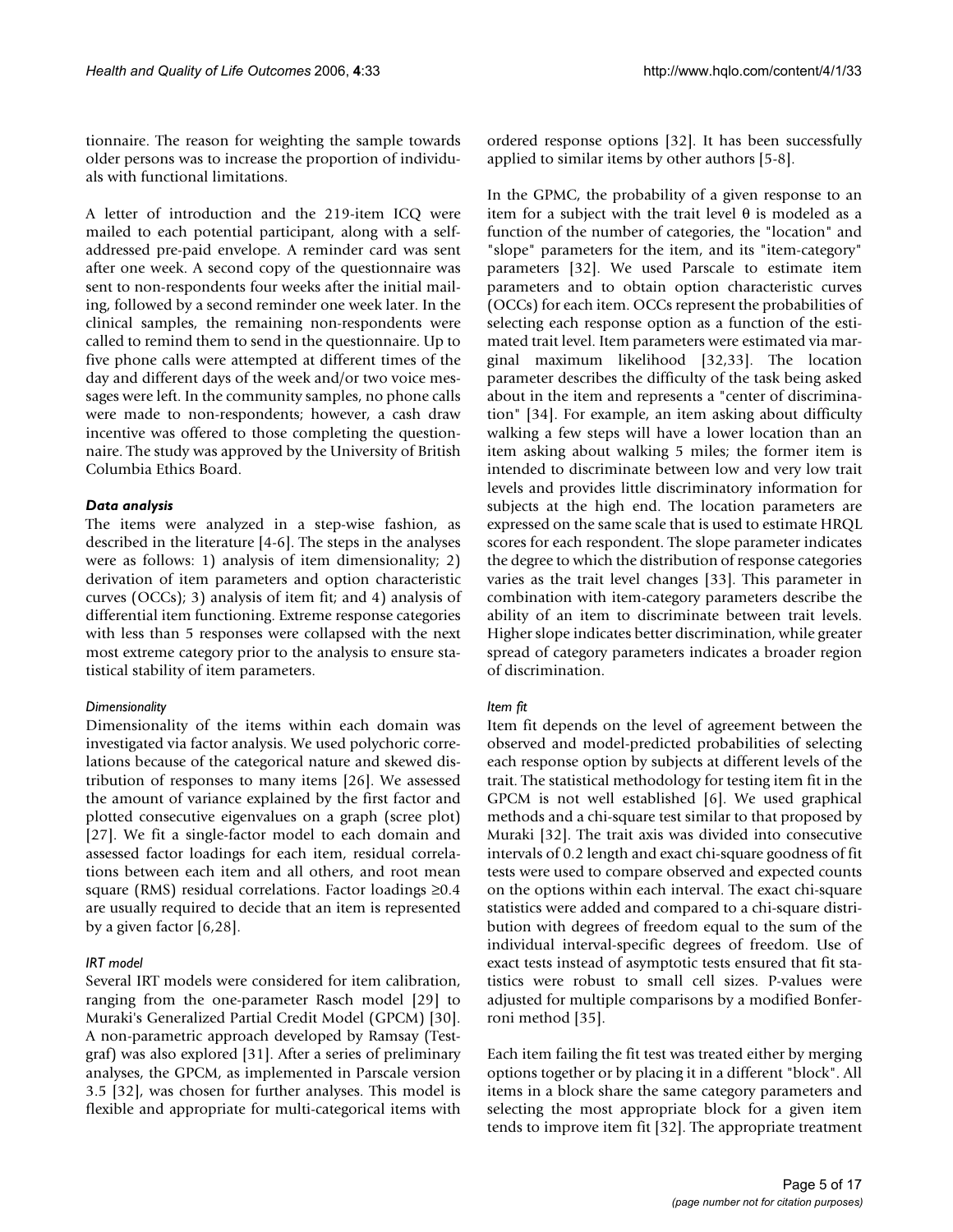tionnaire. The reason for weighting the sample towards older persons was to increase the proportion of individuals with functional limitations.

A letter of introduction and the 219-item ICQ were mailed to each potential participant, along with a selfaddressed pre-paid envelope. A reminder card was sent after one week. A second copy of the questionnaire was sent to non-respondents four weeks after the initial mailing, followed by a second reminder one week later. In the clinical samples, the remaining non-respondents were called to remind them to send in the questionnaire. Up to five phone calls were attempted at different times of the day and different days of the week and/or two voice messages were left. In the community samples, no phone calls were made to non-respondents; however, a cash draw incentive was offered to those completing the questionnaire. The study was approved by the University of British Columbia Ethics Board.

#### *Data analysis*

The items were analyzed in a step-wise fashion, as described in the literature [4-6]. The steps in the analyses were as follows: 1) analysis of item dimensionality; 2) derivation of item parameters and option characteristic curves (OCCs); 3) analysis of item fit; and 4) analysis of differential item functioning. Extreme response categories with less than 5 responses were collapsed with the next most extreme category prior to the analysis to ensure statistical stability of item parameters.

#### *Dimensionality*

Dimensionality of the items within each domain was investigated via factor analysis. We used polychoric correlations because of the categorical nature and skewed distribution of responses to many items [26]. We assessed the amount of variance explained by the first factor and plotted consecutive eigenvalues on a graph (scree plot) [27]. We fit a single-factor model to each domain and assessed factor loadings for each item, residual correlations between each item and all others, and root mean square (RMS) residual correlations. Factor loadings ≥0.4 are usually required to decide that an item is represented by a given factor [6,28].

#### *IRT model*

Several IRT models were considered for item calibration, ranging from the one-parameter Rasch model [29] to Muraki's Generalized Partial Credit Model (GPCM) [30]. A non-parametric approach developed by Ramsay (Testgraf) was also explored [31]. After a series of preliminary analyses, the GPCM, as implemented in Parscale version 3.5 [32], was chosen for further analyses. This model is flexible and appropriate for multi-categorical items with

ordered response options [32]. It has been successfully applied to similar items by other authors [5-8].

In the GPMC, the probability of a given response to an item for a subject with the trait level  $θ$  is modeled as a function of the number of categories, the "location" and "slope" parameters for the item, and its "item-category" parameters [32]. We used Parscale to estimate item parameters and to obtain option characteristic curves (OCCs) for each item. OCCs represent the probabilities of selecting each response option as a function of the estimated trait level. Item parameters were estimated via marginal maximum likelihood [32,33]. The location parameter describes the difficulty of the task being asked about in the item and represents a "center of discrimination" [34]. For example, an item asking about difficulty walking a few steps will have a lower location than an item asking about walking 5 miles; the former item is intended to discriminate between low and very low trait levels and provides little discriminatory information for subjects at the high end. The location parameters are expressed on the same scale that is used to estimate HRQL scores for each respondent. The slope parameter indicates the degree to which the distribution of response categories varies as the trait level changes [33]. This parameter in combination with item-category parameters describe the ability of an item to discriminate between trait levels. Higher slope indicates better discrimination, while greater spread of category parameters indicates a broader region of discrimination.

#### *Item fit*

Item fit depends on the level of agreement between the observed and model-predicted probabilities of selecting each response option by subjects at different levels of the trait. The statistical methodology for testing item fit in the GPCM is not well established [6]. We used graphical methods and a chi-square test similar to that proposed by Muraki [32]. The trait axis was divided into consecutive intervals of 0.2 length and exact chi-square goodness of fit tests were used to compare observed and expected counts on the options within each interval. The exact chi-square statistics were added and compared to a chi-square distribution with degrees of freedom equal to the sum of the individual interval-specific degrees of freedom. Use of exact tests instead of asymptotic tests ensured that fit statistics were robust to small cell sizes. P-values were adjusted for multiple comparisons by a modified Bonferroni method [35].

Each item failing the fit test was treated either by merging options together or by placing it in a different "block". All items in a block share the same category parameters and selecting the most appropriate block for a given item tends to improve item fit [32]. The appropriate treatment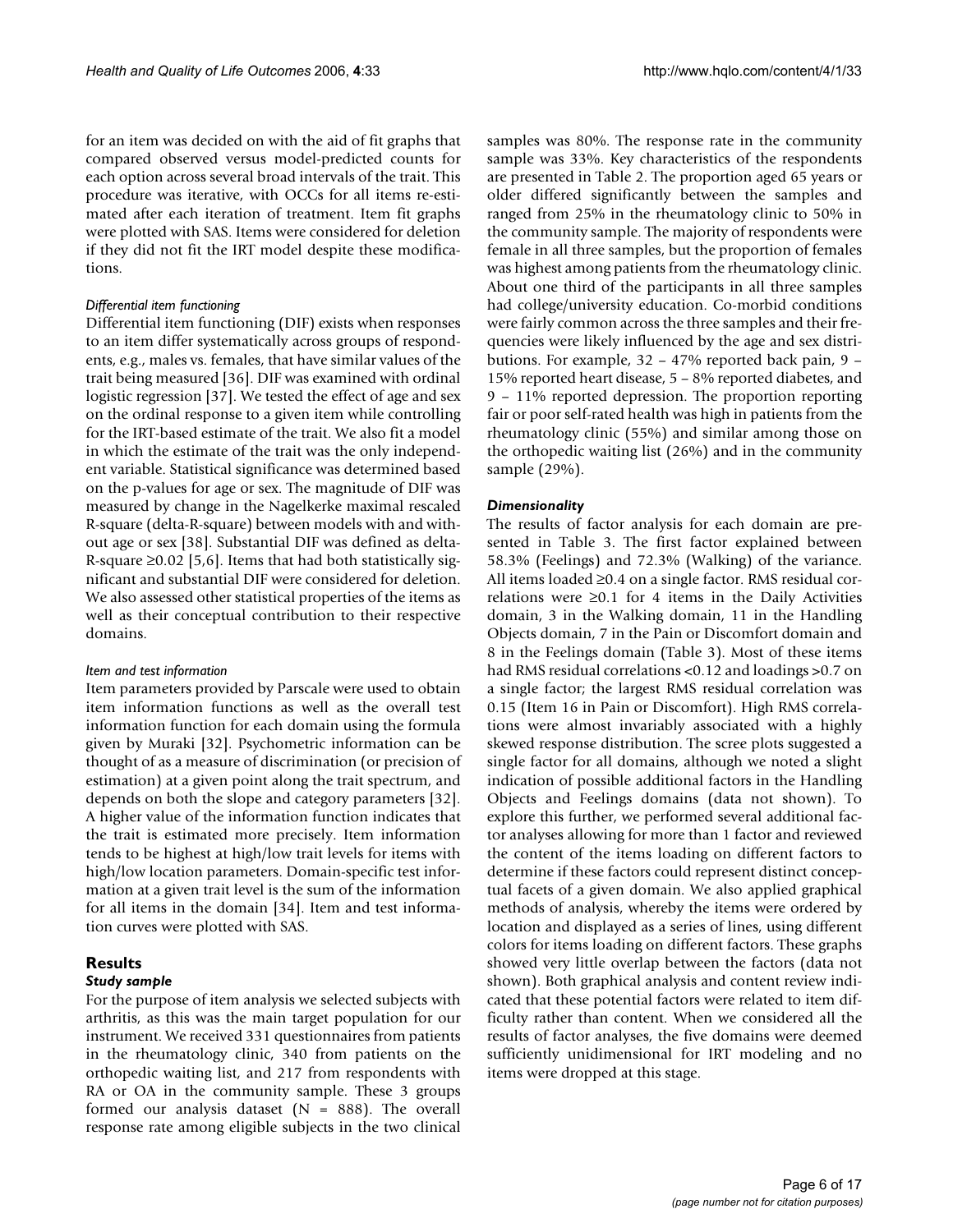for an item was decided on with the aid of fit graphs that compared observed versus model-predicted counts for each option across several broad intervals of the trait. This procedure was iterative, with OCCs for all items re-estimated after each iteration of treatment. Item fit graphs were plotted with SAS. Items were considered for deletion if they did not fit the IRT model despite these modifications.

#### *Differential item functioning*

Differential item functioning (DIF) exists when responses to an item differ systematically across groups of respondents, e.g., males vs. females, that have similar values of the trait being measured [36]. DIF was examined with ordinal logistic regression [37]. We tested the effect of age and sex on the ordinal response to a given item while controlling for the IRT-based estimate of the trait. We also fit a model in which the estimate of the trait was the only independent variable. Statistical significance was determined based on the p-values for age or sex. The magnitude of DIF was measured by change in the Nagelkerke maximal rescaled R-square (delta-R-square) between models with and without age or sex [38]. Substantial DIF was defined as delta-R-square ≥0.02 [5,6]. Items that had both statistically significant and substantial DIF were considered for deletion. We also assessed other statistical properties of the items as well as their conceptual contribution to their respective domains.

#### *Item and test information*

Item parameters provided by Parscale were used to obtain item information functions as well as the overall test information function for each domain using the formula given by Muraki [32]. Psychometric information can be thought of as a measure of discrimination (or precision of estimation) at a given point along the trait spectrum, and depends on both the slope and category parameters [32]. A higher value of the information function indicates that the trait is estimated more precisely. Item information tends to be highest at high/low trait levels for items with high/low location parameters. Domain-specific test information at a given trait level is the sum of the information for all items in the domain [34]. Item and test information curves were plotted with SAS.

# **Results**

### *Study sample*

For the purpose of item analysis we selected subjects with arthritis, as this was the main target population for our instrument. We received 331 questionnaires from patients in the rheumatology clinic, 340 from patients on the orthopedic waiting list, and 217 from respondents with RA or OA in the community sample. These 3 groups formed our analysis dataset  $(N = 888)$ . The overall response rate among eligible subjects in the two clinical

samples was 80%. The response rate in the community sample was 33%. Key characteristics of the respondents are presented in Table 2. The proportion aged 65 years or older differed significantly between the samples and ranged from 25% in the rheumatology clinic to 50% in the community sample. The majority of respondents were female in all three samples, but the proportion of females was highest among patients from the rheumatology clinic. About one third of the participants in all three samples had college/university education. Co-morbid conditions were fairly common across the three samples and their frequencies were likely influenced by the age and sex distributions. For example, 32 – 47% reported back pain, 9 – 15% reported heart disease, 5 – 8% reported diabetes, and 9 – 11% reported depression. The proportion reporting fair or poor self-rated health was high in patients from the rheumatology clinic (55%) and similar among those on the orthopedic waiting list (26%) and in the community sample (29%).

#### *Dimensionality*

The results of factor analysis for each domain are presented in Table 3. The first factor explained between 58.3% (Feelings) and 72.3% (Walking) of the variance. All items loaded ≥0.4 on a single factor. RMS residual correlations were ≥0.1 for 4 items in the Daily Activities domain, 3 in the Walking domain, 11 in the Handling Objects domain, 7 in the Pain or Discomfort domain and 8 in the Feelings domain (Table 3). Most of these items had RMS residual correlations <0.12 and loadings >0.7 on a single factor; the largest RMS residual correlation was 0.15 (Item 16 in Pain or Discomfort). High RMS correlations were almost invariably associated with a highly skewed response distribution. The scree plots suggested a single factor for all domains, although we noted a slight indication of possible additional factors in the Handling Objects and Feelings domains (data not shown). To explore this further, we performed several additional factor analyses allowing for more than 1 factor and reviewed the content of the items loading on different factors to determine if these factors could represent distinct conceptual facets of a given domain. We also applied graphical methods of analysis, whereby the items were ordered by location and displayed as a series of lines, using different colors for items loading on different factors. These graphs showed very little overlap between the factors (data not shown). Both graphical analysis and content review indicated that these potential factors were related to item difficulty rather than content. When we considered all the results of factor analyses, the five domains were deemed sufficiently unidimensional for IRT modeling and no items were dropped at this stage.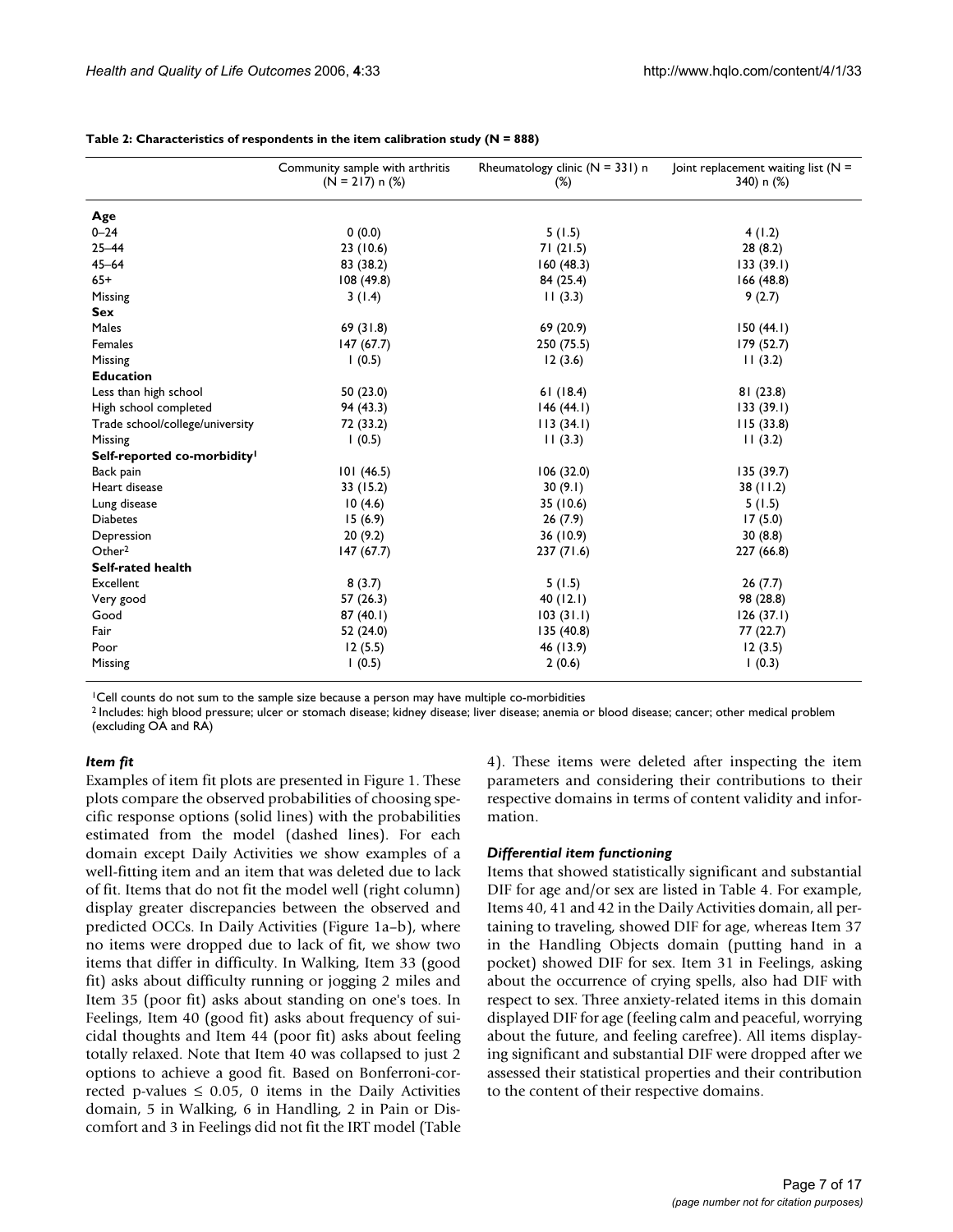|                                         | Community sample with arthritis<br>$(N = 217)$ n $(\%)$ | Rheumatology clinic ( $N = 331$ ) n<br>$(\%)$ | Joint replacement waiting list ( $N =$<br>340) n (%) |
|-----------------------------------------|---------------------------------------------------------|-----------------------------------------------|------------------------------------------------------|
| Age                                     |                                                         |                                               |                                                      |
| $0 - 24$                                | 0(0.0)                                                  | 5(1.5)                                        | 4(1.2)                                               |
| $25 - 44$                               | 23 (10.6)                                               | 71(21.5)                                      | 28(8.2)                                              |
| $45 - 64$                               | 83 (38.2)                                               | 160(48.3)                                     | 133(39.1)                                            |
| $65+$                                   | 108(49.8)                                               | 84 (25.4)                                     | 166(48.8)                                            |
| Missing                                 | 3(1.4)                                                  | 11(3.3)                                       | 9(2.7)                                               |
| Sex                                     |                                                         |                                               |                                                      |
| Males                                   | 69 (31.8)                                               | 69 (20.9)                                     | 150(44.1)                                            |
| Females                                 | 147 (67.7)                                              | 250 (75.5)                                    | 179 (52.7)                                           |
| Missing                                 | 1(0.5)                                                  | 12(3.6)                                       | 11(3.2)                                              |
| <b>Education</b>                        |                                                         |                                               |                                                      |
| Less than high school                   | 50(23.0)                                                | 61(18.4)                                      | 81 (23.8)                                            |
| High school completed                   | 94 (43.3)                                               | 146(44.1)                                     | 133(39.1)                                            |
| Trade school/college/university         | 72 (33.2)                                               | 113(34.1)                                     | 115(33.8)                                            |
| Missing                                 | 1(0.5)                                                  | 11(3.3)                                       | 11(3.2)                                              |
| Self-reported co-morbidity <sup>1</sup> |                                                         |                                               |                                                      |
| Back pain                               | 101(46.5)                                               | 106(32.0)                                     | 135(39.7)                                            |
| Heart disease                           | 33 (15.2)                                               | 30(9.1)                                       | 38(11.2)                                             |
| Lung disease                            | 10(4.6)                                                 | 35 (10.6)                                     | 5(1.5)                                               |
| <b>Diabetes</b>                         | 15(6.9)                                                 | 26(7.9)                                       | 17(5.0)                                              |
| Depression                              | 20(9.2)                                                 | 36 (10.9)                                     | 30(8.8)                                              |
| Other <sup>2</sup>                      | 147(67.7)                                               | 237 (71.6)                                    | 227 (66.8)                                           |
| <b>Self-rated health</b>                |                                                         |                                               |                                                      |
| Excellent                               | 8(3.7)                                                  | 5(1.5)                                        | 26(7.7)                                              |
| Very good                               | 57(26.3)                                                | 40(12.1)                                      | 98 (28.8)                                            |
| Good                                    | 87(40.1)                                                | 103(31.1)                                     | 126(37.1)                                            |
| Fair                                    | 52 (24.0)                                               | 135 (40.8)                                    | 77 (22.7)                                            |
| Poor                                    | 12(5.5)                                                 | 46 (13.9)                                     | 12(3.5)                                              |
| Missing                                 | 1(0.5)                                                  | 2(0.6)                                        | 1(0.3)                                               |

#### **Table 2: Characteristics of respondents in the item calibration study (N = 888)**

1Cell counts do not sum to the sample size because a person may have multiple co-morbidities

2 Includes: high blood pressure; ulcer or stomach disease; kidney disease; liver disease; anemia or blood disease; cancer; other medical problem (excluding OA and RA)

#### *Item fit*

Examples of item fit plots are presented in Figure 1. These plots compare the observed probabilities of choosing specific response options (solid lines) with the probabilities estimated from the model (dashed lines). For each domain except Daily Activities we show examples of a well-fitting item and an item that was deleted due to lack of fit. Items that do not fit the model well (right column) display greater discrepancies between the observed and predicted OCCs. In Daily Activities (Figure 1a–b), where no items were dropped due to lack of fit, we show two items that differ in difficulty. In Walking, Item 33 (good fit) asks about difficulty running or jogging 2 miles and Item 35 (poor fit) asks about standing on one's toes. In Feelings, Item 40 (good fit) asks about frequency of suicidal thoughts and Item 44 (poor fit) asks about feeling totally relaxed. Note that Item 40 was collapsed to just 2 options to achieve a good fit. Based on Bonferroni-corrected p-values  $\leq$  0.05, 0 items in the Daily Activities domain, 5 in Walking, 6 in Handling, 2 in Pain or Discomfort and 3 in Feelings did not fit the IRT model (Table 4). These items were deleted after inspecting the item parameters and considering their contributions to their respective domains in terms of content validity and information.

#### *Differential item functioning*

Items that showed statistically significant and substantial DIF for age and/or sex are listed in Table 4. For example, Items 40, 41 and 42 in the Daily Activities domain, all pertaining to traveling, showed DIF for age, whereas Item 37 in the Handling Objects domain (putting hand in a pocket) showed DIF for sex. Item 31 in Feelings, asking about the occurrence of crying spells, also had DIF with respect to sex. Three anxiety-related items in this domain displayed DIF for age (feeling calm and peaceful, worrying about the future, and feeling carefree). All items displaying significant and substantial DIF were dropped after we assessed their statistical properties and their contribution to the content of their respective domains.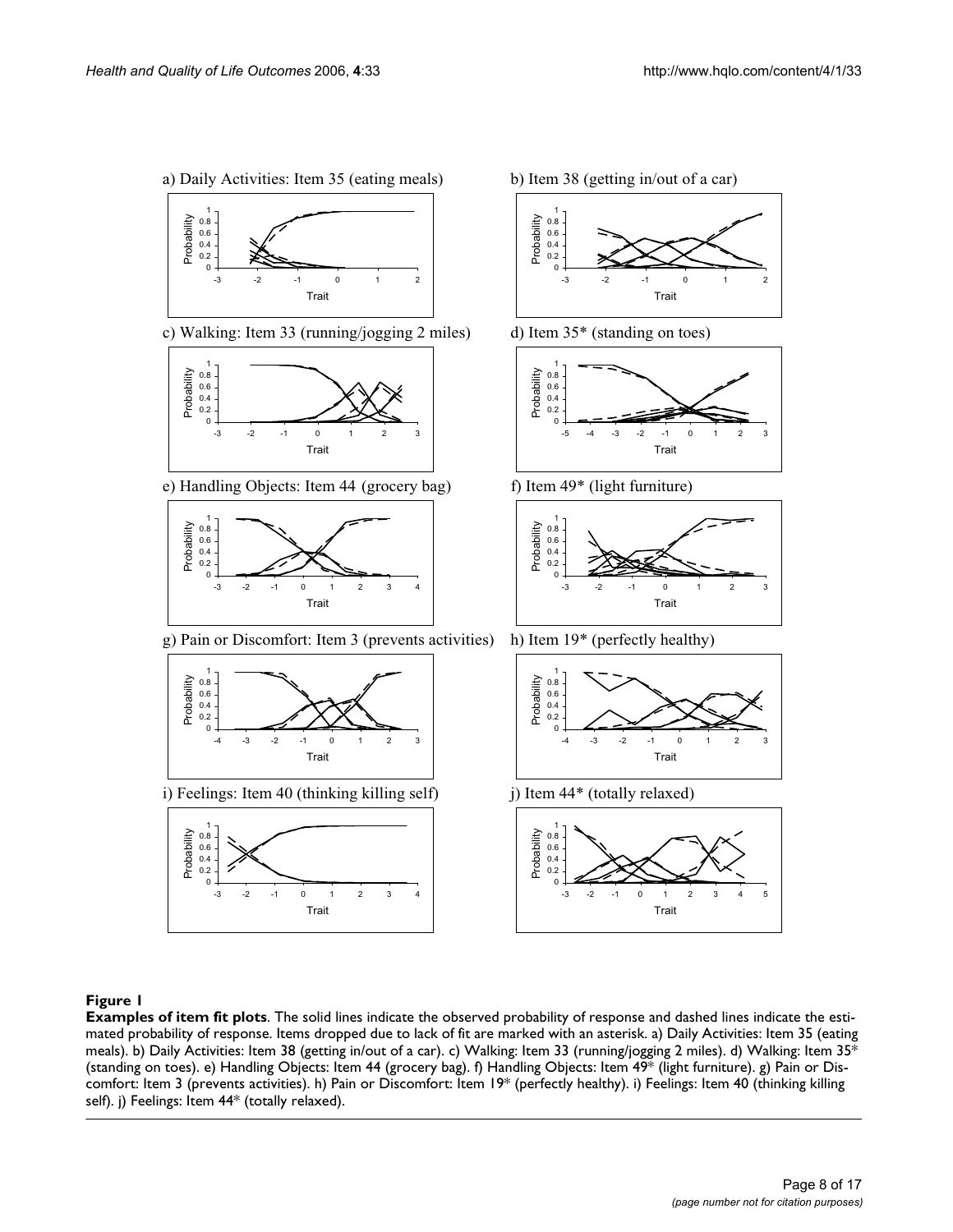

# a) Daily Activities: Item 35 (eating meals) b) Item 38 (getting in/out of a car)

# **Figure 1**

**Examples of item fit plots**. The solid lines indicate the observed probability of response and dashed lines indicate the estimated probability of response. Items dropped due to lack of fit are marked with an asterisk. a) Daily Activities: Item 35 (eating meals). b) Daily Activities: Item 38 (getting in/out of a car). c) Walking: Item 33 (running/jogging 2 miles). d) Walking: Item 35\* (standing on toes). e) Handling Objects: Item 44 (grocery bag). f) Handling Objects: Item 49\* (light furniture). g) Pain or Discomfort: Item 3 (prevents activities). h) Pain or Discomfort: Item 19\* (perfectly healthy). i) Feelings: Item 40 (thinking killing self). j) Feelings: Item 44\* (totally relaxed).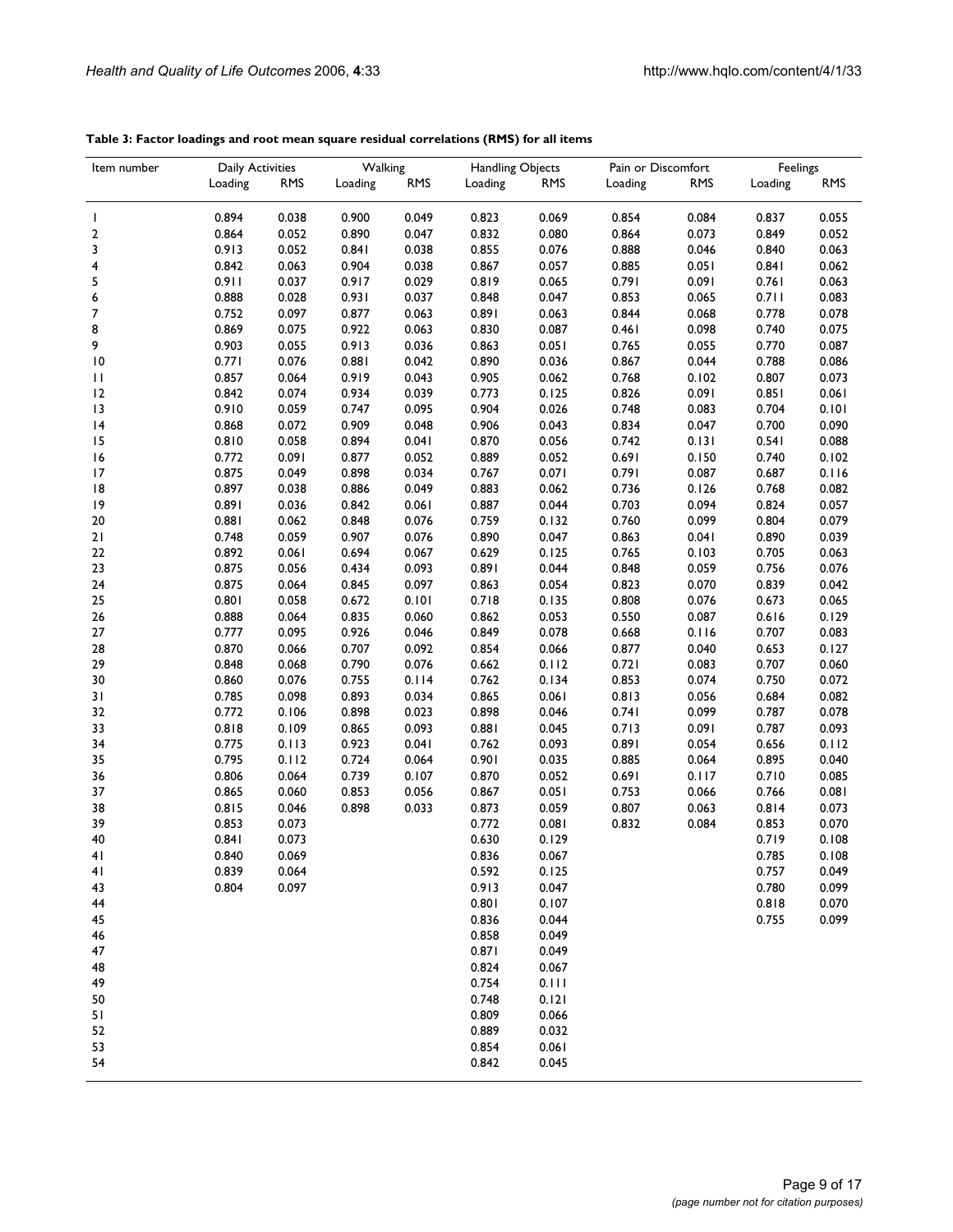| Item number      | Daily Activities |            | Walking |            | Handling Objects |                | Pain or Discomfort |            | Feelings |            |
|------------------|------------------|------------|---------|------------|------------------|----------------|--------------------|------------|----------|------------|
|                  | Loading          | <b>RMS</b> | Loading | <b>RMS</b> | Loading          | <b>RMS</b>     | Loading            | <b>RMS</b> | Loading  | <b>RMS</b> |
|                  |                  |            |         |            |                  |                |                    |            |          |            |
| I                | 0.894            | 0.038      | 0.900   | 0.049      | 0.823            | 0.069          | 0.854              | 0.084      | 0.837    | 0.055      |
| $\boldsymbol{2}$ | 0.864            | 0.052      | 0.890   | 0.047      | 0.832            | 0.080          | 0.864              | 0.073      | 0.849    | 0.052      |
| 3                | 0.913            | 0.052      | 0.841   | 0.038      | 0.855            | 0.076          | 0.888              | 0.046      | 0.840    | 0.063      |
| 4                | 0.842            | 0.063      | 0.904   | 0.038      | 0.867            | 0.057          | 0.885              | 0.051      | 0.841    | 0.062      |
| 5                | 0.911            | 0.037      | 0.917   | 0.029      | 0.819            | 0.065          | 0.791              | 0.091      | 0.761    | 0.063      |
| 6                | 0.888            | 0.028      | 0.931   | 0.037      | 0.848            | 0.047          | 0.853              | 0.065      | 0.711    | 0.083      |
| 7                | 0.752            | 0.097      | 0.877   | 0.063      | 0.891            | 0.063          | 0.844              | 0.068      | 0.778    | 0.078      |
| 8                | 0.869            | 0.075      | 0.922   | 0.063      | 0.830            | 0.087          | 0.461              | 0.098      | 0.740    | 0.075      |
| 9                | 0.903            | 0.055      | 0.913   | 0.036      | 0.863            | 0.051          | 0.765              | 0.055      | 0.770    | 0.087      |
| $\overline{10}$  | 0.771            | 0.076      | 0.881   | 0.042      | 0.890            | 0.036          | 0.867              | 0.044      | 0.788    | 0.086      |
| П                | 0.857            | 0.064      | 0.919   | 0.043      | 0.905            | 0.062          | 0.768              | 0.102      | 0.807    | 0.073      |
| 12               | 0.842            | 0.074      | 0.934   | 0.039      | 0.773            | 0.125          | 0.826              | 0.091      | 0.851    | 0.061      |
| 13               | 0.910            | 0.059      | 0.747   | 0.095      | 0.904            | 0.026          | 0.748              | 0.083      | 0.704    | 0.101      |
| 4                | 0.868            | 0.072      | 0.909   | 0.048      | 0.906            | 0.043          | 0.834              | 0.047      | 0.700    | 0.090      |
| 15               | 0.810            | 0.058      | 0.894   | 0.041      | 0.870            | 0.056          | 0.742              | 0.131      | 0.541    | 0.088      |
| 16               | 0.772            | 0.091      | 0.877   | 0.052      | 0.889            | 0.052          | 0.691              | 0.150      | 0.740    | 0.102      |
| 17               | 0.875            | 0.049      | 0.898   | 0.034      | 0.767            | 0.071          | 0.791              | 0.087      | 0.687    | 0.116      |
| 18               | 0.897            | 0.038      | 0.886   | 0.049      | 0.883            | 0.062          | 0.736              | 0.126      | 0.768    | 0.082      |
| 9                | 0.891            | 0.036      | 0.842   | 0.061      | 0.887            | 0.044          | 0.703              | 0.094      | 0.824    | 0.057      |
| 20               | 0.881            | 0.062      | 0.848   | 0.076      | 0.759            | 0.132          | 0.760              | 0.099      | 0.804    | 0.079      |
| 21               | 0.748            | 0.059      | 0.907   | 0.076      | 0.890            | 0.047          | 0.863              | 0.041      | 0.890    | 0.039      |
| 22               | 0.892            | 0.061      | 0.694   | 0.067      | 0.629            | 0.125          | 0.765              | 0.103      | 0.705    | 0.063      |
| 23               | 0.875            | 0.056      | 0.434   | 0.093      | 0.891            | 0.044          | 0.848              | 0.059      | 0.756    | 0.076      |
| 24               | 0.875            | 0.064      | 0.845   | 0.097      | 0.863            | 0.054          | 0.823              | 0.070      | 0.839    | 0.042      |
| 25               | 0.801            | 0.058      | 0.672   | 0.101      | 0.718            | 0.135          | 0.808              | 0.076      | 0.673    | 0.065      |
| 26               | 0.888            | 0.064      | 0.835   | 0.060      | 0.862            | 0.053          | 0.550              | 0.087      | 0.616    | 0.129      |
| 27               | 0.777            | 0.095      | 0.926   | 0.046      | 0.849            | 0.078          | 0.668              | 0.116      | 0.707    | 0.083      |
| 28               | 0.870            | 0.066      | 0.707   | 0.092      | 0.854            | 0.066          | 0.877              | 0.040      | 0.653    | 0.127      |
| 29               | 0.848            | 0.068      | 0.790   | 0.076      | 0.662            | 0.112          | 0.721              | 0.083      | 0.707    | 0.060      |
| 30               | 0.860            | 0.076      | 0.755   | 0.114      | 0.762            | 0.134          | 0.853              | 0.074      | 0.750    | 0.072      |
| 31               | 0.785            | 0.098      | 0.893   | 0.034      | 0.865            | 0.061          | 0.813              | 0.056      | 0.684    | 0.082      |
| 32               | 0.772            | 0.106      | 0.898   | 0.023      | 0.898            | 0.046          | 0.741              | 0.099      | 0.787    | 0.078      |
| 33               | 0.818            | 0.109      | 0.865   | 0.093      | 0.881            | 0.045          | 0.713              | 0.091      | 0.787    | 0.093      |
| 34               | 0.775            | 0.113      | 0.923   | 0.041      | 0.762            | 0.093          | 0.891              | 0.054      | 0.656    | 0.112      |
| 35               | 0.795            | 0.112      | 0.724   | 0.064      | 0.901            | 0.035          | 0.885              | 0.064      | 0.895    | 0.040      |
| 36               | 0.806            | 0.064      | 0.739   | 0.107      | 0.870            | 0.052          | 0.691              | 0.117      | 0.710    | 0.085      |
| 37               | 0.865            | 0.060      | 0.853   | 0.056      | 0.867            | 0.051          | 0.753              | 0.066      | 0.766    | 0.081      |
| 38               | 0.815            | 0.046      | 0.898   | 0.033      | 0.873            | 0.059          | 0.807              | 0.063      | 0.814    | 0.073      |
| 39               | 0.853            | 0.073      |         |            | 0.772            | 0.081          | 0.832              | 0.084      | 0.853    | 0.070      |
| 40               | 0.841            | 0.073      |         |            | 0.630            | 0.129          |                    |            | 0.719    | 0.108      |
| 41               | 0.840            | 0.069      |         |            | 0.836            | 0.067          |                    |            | 0.785    | 0.108      |
| 41               | 0.839            | 0.064      |         |            | 0.592            | 0.125          |                    |            | 0.757    | 0.049      |
| 43               | 0.804            | 0.097      |         |            | 0.913            | 0.047          |                    |            | 0.780    | 0.099      |
| 44               |                  |            |         |            | 0.801            | 0.107          |                    |            | 0.818    | 0.070      |
| 45               |                  |            |         |            | 0.836            | 0.044          |                    |            | 0.755    | 0.099      |
| 46               |                  |            |         |            | 0.858            | 0.049          |                    |            |          |            |
| 47               |                  |            |         |            | 0.871            | 0.049          |                    |            |          |            |
| 48               |                  |            |         |            | 0.824            | 0.067          |                    |            |          |            |
| 49               |                  |            |         |            | 0.754            | 0.111          |                    |            |          |            |
| 50               |                  |            |         |            | 0.748<br>0.809   | 0.121          |                    |            |          |            |
| 51               |                  |            |         |            | 0.889            | 0.066          |                    |            |          |            |
| 52               |                  |            |         |            |                  | 0.032          |                    |            |          |            |
| 53               |                  |            |         |            | 0.854            | 0.061<br>0.045 |                    |            |          |            |
| 54               |                  |            |         |            | 0.842            |                |                    |            |          |            |

**Table 3: Factor loadings and root mean square residual correlations (RMS) for all items**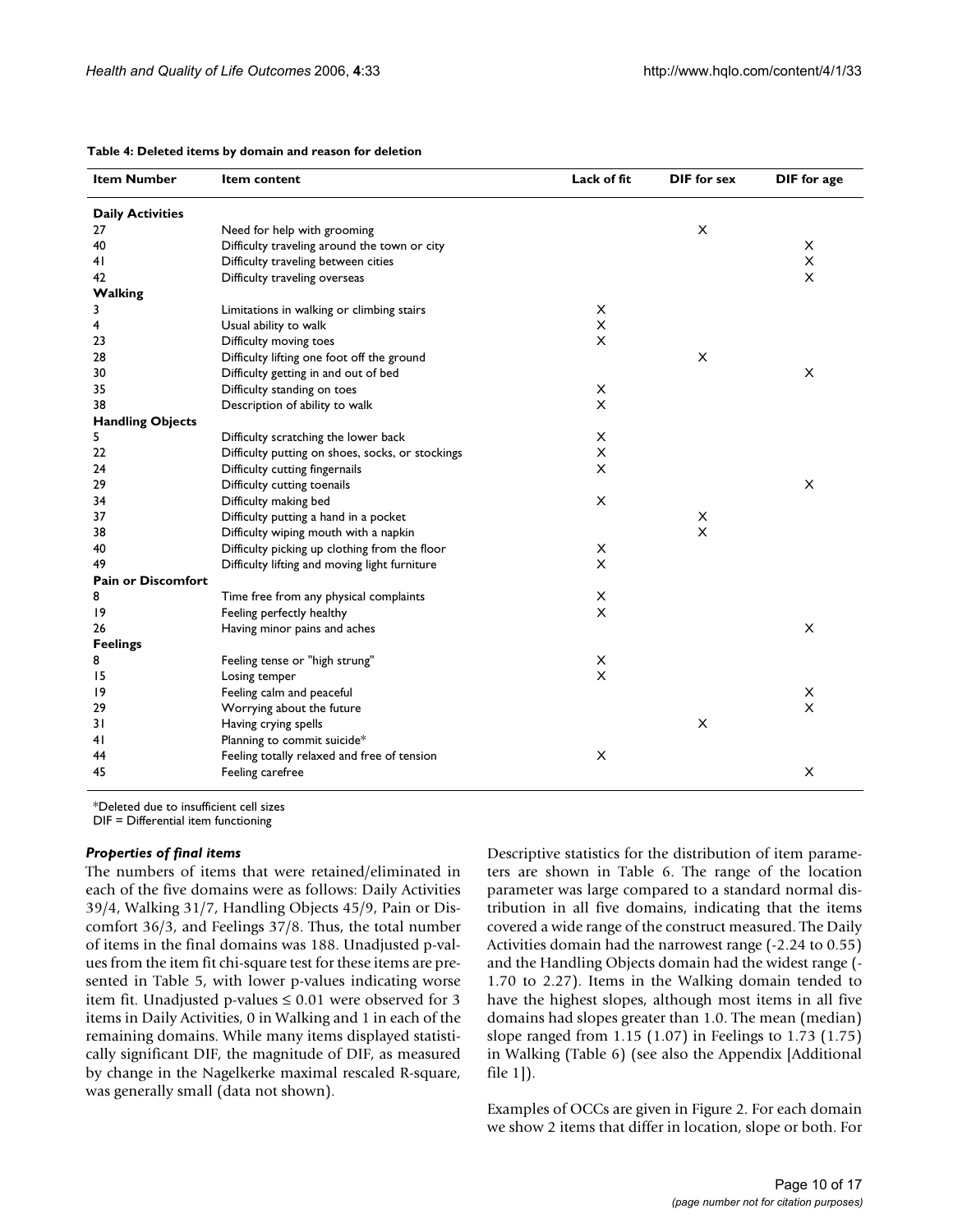| <b>Item Number</b>        | Item content                                     | Lack of fit  | DIF for sex | DIF for age    |
|---------------------------|--------------------------------------------------|--------------|-------------|----------------|
| <b>Daily Activities</b>   |                                                  |              |             |                |
| 27                        | Need for help with grooming                      |              | X           |                |
| 40                        | Difficulty traveling around the town or city     |              |             | X              |
| 41                        | Difficulty traveling between cities              |              |             | X              |
| 42                        | Difficulty traveling overseas                    |              |             | $\pmb{\times}$ |
| <b>Walking</b>            |                                                  |              |             |                |
| 3                         | Limitations in walking or climbing stairs        | X            |             |                |
| 4                         | Usual ability to walk                            | X            |             |                |
| 23                        | Difficulty moving toes                           | $\mathsf{x}$ |             |                |
| 28                        | Difficulty lifting one foot off the ground       |              | X           |                |
| 30                        | Difficulty getting in and out of bed             |              |             | X              |
| 35                        | Difficulty standing on toes                      | X            |             |                |
| 38                        | Description of ability to walk                   | $\mathsf{X}$ |             |                |
| <b>Handling Objects</b>   |                                                  |              |             |                |
| 5                         | Difficulty scratching the lower back             | X            |             |                |
| 22                        | Difficulty putting on shoes, socks, or stockings | X            |             |                |
| 24                        | Difficulty cutting fingernails                   | X            |             |                |
| 29                        | Difficulty cutting toenails                      |              |             | X              |
| 34                        | Difficulty making bed                            | $\times$     |             |                |
| 37                        | Difficulty putting a hand in a pocket            |              | X           |                |
| 38                        | Difficulty wiping mouth with a napkin            |              | $\times$    |                |
| 40                        | Difficulty picking up clothing from the floor    | X            |             |                |
| 49                        | Difficulty lifting and moving light furniture    | X            |             |                |
| <b>Pain or Discomfort</b> |                                                  |              |             |                |
| 8                         | Time free from any physical complaints           | X            |             |                |
| 19                        | Feeling perfectly healthy                        | X            |             |                |
| 26                        | Having minor pains and aches                     |              |             | $\pmb{\times}$ |
| <b>Feelings</b>           |                                                  |              |             |                |
| 8                         | Feeling tense or "high strung"                   | X            |             |                |
| 15                        | Losing temper                                    | X            |             |                |
| 19                        | Feeling calm and peaceful                        |              |             | X              |
| 29                        | Worrying about the future                        |              |             | $\times$       |
| 31                        | Having crying spells                             |              | X           |                |
| 41                        | Planning to commit suicide*                      |              |             |                |
| 44                        | Feeling totally relaxed and free of tension      | X            |             |                |
| 45                        | Feeling carefree                                 |              |             | X              |

#### **Table 4: Deleted items by domain and reason for deletion**

\*Deleted due to insufficient cell sizes

DIF = Differential item functioning

#### *Properties of final items*

The numbers of items that were retained/eliminated in each of the five domains were as follows: Daily Activities 39/4, Walking 31/7, Handling Objects 45/9, Pain or Discomfort 36/3, and Feelings 37/8. Thus, the total number of items in the final domains was 188. Unadjusted p-values from the item fit chi-square test for these items are presented in Table 5, with lower p-values indicating worse item fit. Unadjusted p-values  $\leq 0.01$  were observed for 3 items in Daily Activities, 0 in Walking and 1 in each of the remaining domains. While many items displayed statistically significant DIF, the magnitude of DIF, as measured by change in the Nagelkerke maximal rescaled R-square, was generally small (data not shown).

Descriptive statistics for the distribution of item parameters are shown in Table 6. The range of the location parameter was large compared to a standard normal distribution in all five domains, indicating that the items covered a wide range of the construct measured. The Daily Activities domain had the narrowest range (-2.24 to 0.55) and the Handling Objects domain had the widest range (- 1.70 to 2.27). Items in the Walking domain tended to have the highest slopes, although most items in all five domains had slopes greater than 1.0. The mean (median) slope ranged from 1.15 (1.07) in Feelings to 1.73 (1.75) in Walking (Table 6) (see also the Appendix [Additional file 1]).

Examples of OCCs are given in Figure 2. For each domain we show 2 items that differ in location, slope or both. For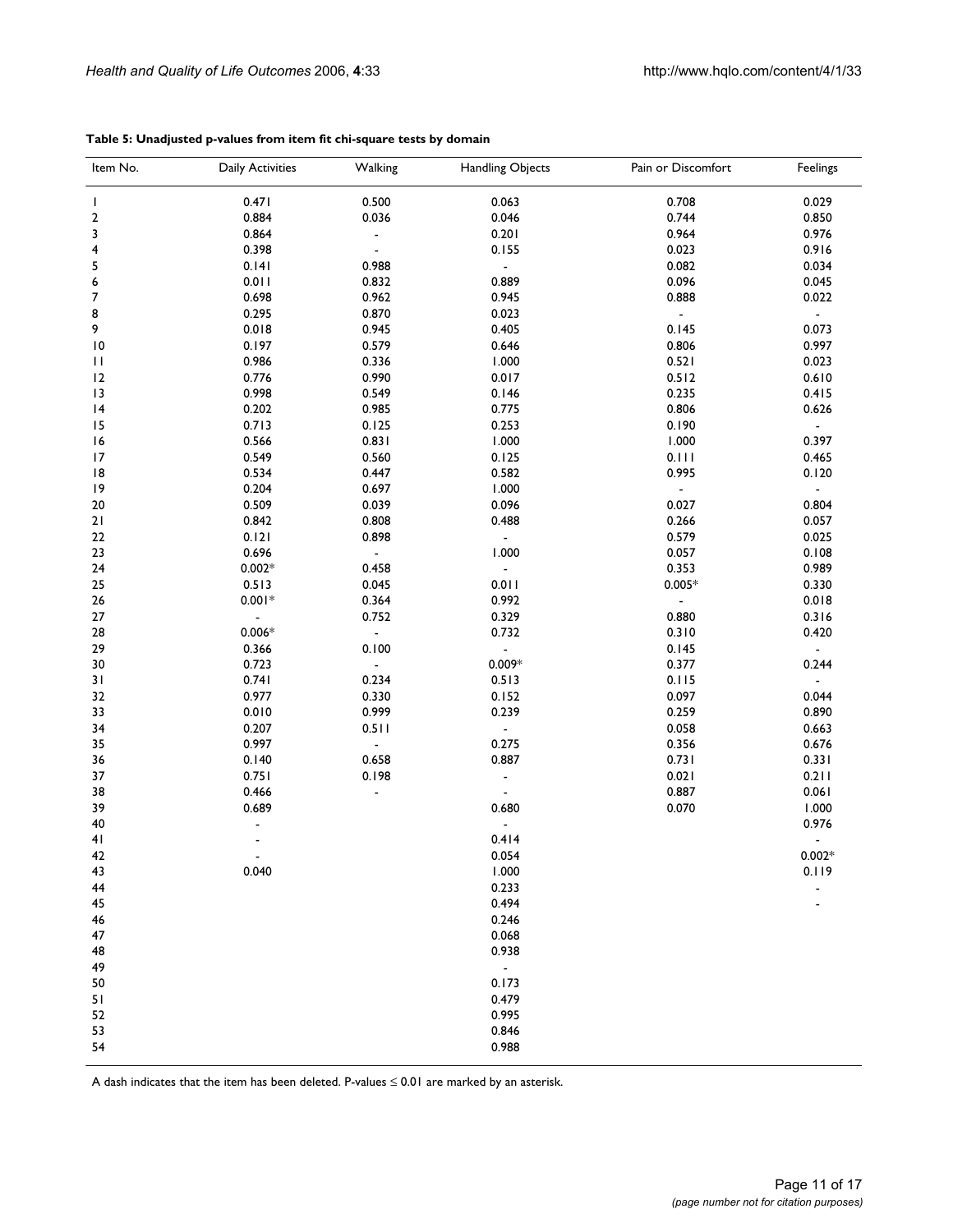| Item No.         | Daily Activities         | Walking                  | Handling Objects | Pain or Discomfort | Feelings                     |
|------------------|--------------------------|--------------------------|------------------|--------------------|------------------------------|
| T                | 0.471                    | 0.500                    | 0.063            | 0.708              | 0.029                        |
| $\boldsymbol{2}$ | 0.884                    | 0.036                    | 0.046            | 0.744              | 0.850                        |
| 3                | 0.864                    | $\blacksquare$           | 0.201            | 0.964              | 0.976                        |
| 4                | 0.398                    | $\blacksquare$           | 0.155            | 0.023              | 0.916                        |
| 5                | 0.141                    | 0.988                    | $\blacksquare$   | 0.082              | 0.034                        |
| 6                | 0.011                    | 0.832                    | 0.889            | 0.096              | 0.045                        |
| 7                | 0.698                    | 0.962                    | 0.945            | 0.888              | 0.022                        |
| 8                | 0.295                    | 0.870                    | 0.023            | $\blacksquare$     | $\blacksquare$               |
| 9                | 0.018                    | 0.945                    | 0.405            | 0.145              | 0.073                        |
| 0                | 0.197                    | 0.579                    | 0.646            | 0.806              | 0.997                        |
| П                | 0.986                    | 0.336                    | 1.000            | 0.521              | 0.023                        |
| 12               | 0.776                    | 0.990                    | 0.017            | 0.512              | 0.610                        |
| 13               | 0.998                    | 0.549                    | 0.146            | 0.235              | 0.415                        |
| 4                | 0.202                    | 0.985                    | 0.775            | 0.806              | 0.626                        |
| 15               | 0.713                    | 0.125                    | 0.253            | 0.190              | $\blacksquare$               |
| 16               | 0.566                    | 0.831                    | 1.000            | 1.000              | 0.397                        |
| 17               | 0.549                    | 0.560                    | 0.125            | 0.111              | 0.465                        |
| 8                | 0.534                    | 0.447                    | 0.582            | 0.995              | 0.120                        |
| 9                | 0.204                    | 0.697                    | 1.000            | $\blacksquare$     | $\blacksquare$               |
| 20               | 0.509                    | 0.039                    | 0.096            | 0.027              | 0.804                        |
| 21               | 0.842                    | 0.808                    | 0.488            | 0.266              | 0.057                        |
| 22               | 0.121                    | 0.898                    | $\blacksquare$   | 0.579              | 0.025                        |
| 23               | 0.696                    | $\overline{\phantom{a}}$ | 1.000            | 0.057              | 0.108                        |
| 24               | $0.002*$                 | 0.458                    | $\blacksquare$   | 0.353              | 0.989                        |
| 25               | 0.513                    | 0.045                    | 0.011            | $0.005*$           | 0.330                        |
| 26               | $0.001*$                 | 0.364                    | 0.992            | $\blacksquare$     | 0.018                        |
| 27               | ä,                       | 0.752                    | 0.329            | 0.880              | 0.316                        |
| 28               | $0.006*$                 | $\blacksquare$           | 0.732            | 0.310              | 0.420                        |
| 29               | 0.366                    | 0.100                    | $\blacksquare$   | 0.145              | $\blacksquare$               |
| 30               | 0.723                    | $\blacksquare$           | $0.009*$         | 0.377              | 0.244                        |
| 31               | 0.741                    | 0.234                    | 0.513            | 0.115              | $\blacksquare$               |
| 32               | 0.977                    | 0.330                    | 0.152            | 0.097              | 0.044                        |
| 33               | 0.010                    | 0.999                    | 0.239            | 0.259              | 0.890                        |
| 34               | 0.207                    | 0.511                    | $\blacksquare$   | 0.058              | 0.663                        |
| 35               | 0.997                    | $\blacksquare$           | 0.275            | 0.356              | 0.676                        |
| 36               | 0.140                    | 0.658                    | 0.887            | 0.731              | 0.331                        |
| 37               | 0.751                    | 0.198                    | $\blacksquare$   | 0.021              | 0.211                        |
| 38               | 0.466                    | $\blacksquare$           | $\blacksquare$   | 0.887              | 0.061                        |
| 39               | 0.689                    |                          | 0.680            | 0.070              | 1.000                        |
| 40               |                          |                          | $\blacksquare$   |                    | 0.976                        |
| 41               | $\overline{\phantom{a}}$ |                          | 0.414            |                    | $\qquad \qquad \blacksquare$ |
| 42               | $\blacksquare$           |                          | 0.054            |                    | $0.002*$                     |
| 43               | 0.040                    |                          | 1.000            |                    | 0.119                        |
| 44               |                          |                          | 0.233            |                    | ÷.                           |
| 45               |                          |                          | 0.494            |                    |                              |
| 46               |                          |                          | 0.246            |                    |                              |
| 47               |                          |                          | 0.068            |                    |                              |
| 48               |                          |                          | 0.938            |                    |                              |
| 49               |                          |                          | $\omega_{\rm c}$ |                    |                              |
| 50               |                          |                          | 0.173            |                    |                              |
| 51               |                          |                          | 0.479            |                    |                              |
| 52               |                          |                          | 0.995            |                    |                              |
| 53               |                          |                          | 0.846            |                    |                              |
| 54               |                          |                          | 0.988            |                    |                              |
|                  |                          |                          |                  |                    |                              |

### **Table 5: Unadjusted p-values from item fit chi-square tests by domain**

A dash indicates that the item has been deleted. P-values  $\leq 0.01$  are marked by an asterisk.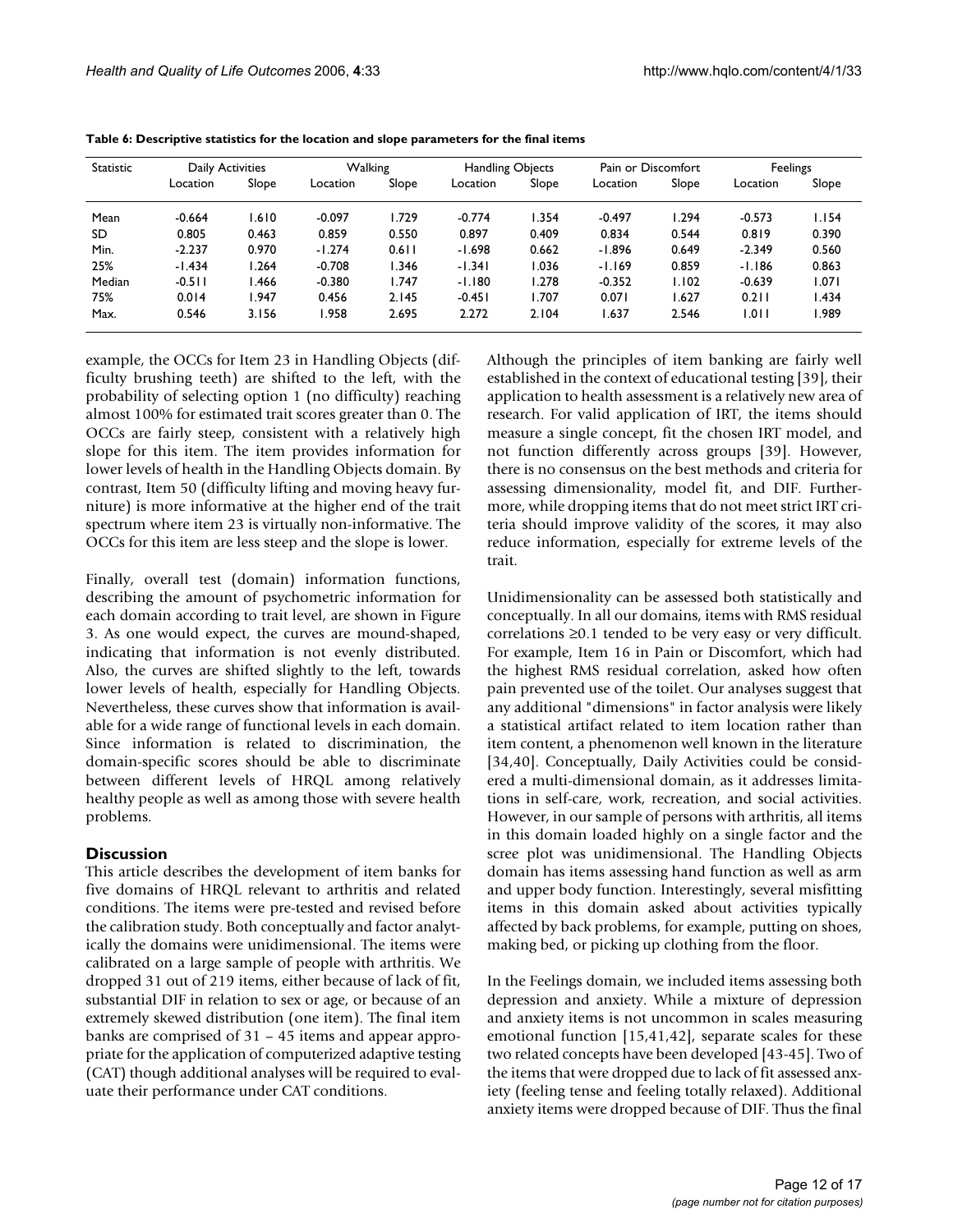| <b>Statistic</b> | Daily Activities |       | Walking  |       | <b>Handling Objects</b> |       | Pain or Discomfort |       | Feelings |       |
|------------------|------------------|-------|----------|-------|-------------------------|-------|--------------------|-------|----------|-------|
|                  | Location         | Slope | Location | Slope | Location                | Slope | Location           | Slope | Location | Slope |
| Mean             | $-0.664$         | 1.610 | $-0.097$ | 1.729 | $-0.774$                | 1.354 | $-0.497$           | 1.294 | $-0.573$ | 1.154 |
| SD               | 0.805            | 0.463 | 0.859    | 0.550 | 0.897                   | 0.409 | 0.834              | 0.544 | 0.819    | 0.390 |
| Min.             | $-2.237$         | 0.970 | $-1.274$ | 0.611 | $-1.698$                | 0.662 | $-1.896$           | 0.649 | $-2.349$ | 0.560 |
| 25%              | $-1.434$         | 1.264 | $-0.708$ | 1.346 | $-1.341$                | 1.036 | $-1.169$           | 0.859 | $-1.186$ | 0.863 |
| Median           | $-0.511$         | l.466 | $-0.380$ | 1.747 | $-1.180$                | 1.278 | $-0.352$           | 1.102 | $-0.639$ | 1.071 |
| 75%              | 0.014            | .947  | 0.456    | 2.145 | $-0.451$                | 1.707 | 0.071              | .627  | 0.211    | A34   |
| Max.             | 0.546            | 3.156 | 1.958    | 2.695 | 2.272                   | 2.104 | 1.637              | 2.546 | 1.011    | .989  |

**Table 6: Descriptive statistics for the location and slope parameters for the final items**

example, the OCCs for Item 23 in Handling Objects (difficulty brushing teeth) are shifted to the left, with the probability of selecting option 1 (no difficulty) reaching almost 100% for estimated trait scores greater than 0. The OCCs are fairly steep, consistent with a relatively high slope for this item. The item provides information for lower levels of health in the Handling Objects domain. By contrast, Item 50 (difficulty lifting and moving heavy furniture) is more informative at the higher end of the trait spectrum where item 23 is virtually non-informative. The OCCs for this item are less steep and the slope is lower.

Finally, overall test (domain) information functions, describing the amount of psychometric information for each domain according to trait level, are shown in Figure 3. As one would expect, the curves are mound-shaped, indicating that information is not evenly distributed. Also, the curves are shifted slightly to the left, towards lower levels of health, especially for Handling Objects. Nevertheless, these curves show that information is available for a wide range of functional levels in each domain. Since information is related to discrimination, the domain-specific scores should be able to discriminate between different levels of HRQL among relatively healthy people as well as among those with severe health problems.

# **Discussion**

This article describes the development of item banks for five domains of HRQL relevant to arthritis and related conditions. The items were pre-tested and revised before the calibration study. Both conceptually and factor analytically the domains were unidimensional. The items were calibrated on a large sample of people with arthritis. We dropped 31 out of 219 items, either because of lack of fit, substantial DIF in relation to sex or age, or because of an extremely skewed distribution (one item). The final item banks are comprised of 31 – 45 items and appear appropriate for the application of computerized adaptive testing (CAT) though additional analyses will be required to evaluate their performance under CAT conditions.

Although the principles of item banking are fairly well established in the context of educational testing [39], their application to health assessment is a relatively new area of research. For valid application of IRT, the items should measure a single concept, fit the chosen IRT model, and not function differently across groups [39]. However, there is no consensus on the best methods and criteria for assessing dimensionality, model fit, and DIF. Furthermore, while dropping items that do not meet strict IRT criteria should improve validity of the scores, it may also reduce information, especially for extreme levels of the trait.

Unidimensionality can be assessed both statistically and conceptually. In all our domains, items with RMS residual correlations ≥0.1 tended to be very easy or very difficult. For example, Item 16 in Pain or Discomfort, which had the highest RMS residual correlation, asked how often pain prevented use of the toilet. Our analyses suggest that any additional "dimensions" in factor analysis were likely a statistical artifact related to item location rather than item content, a phenomenon well known in the literature [34,40]. Conceptually, Daily Activities could be considered a multi-dimensional domain, as it addresses limitations in self-care, work, recreation, and social activities. However, in our sample of persons with arthritis, all items in this domain loaded highly on a single factor and the scree plot was unidimensional. The Handling Objects domain has items assessing hand function as well as arm and upper body function. Interestingly, several misfitting items in this domain asked about activities typically affected by back problems, for example, putting on shoes, making bed, or picking up clothing from the floor.

In the Feelings domain, we included items assessing both depression and anxiety. While a mixture of depression and anxiety items is not uncommon in scales measuring emotional function [15,41,42], separate scales for these two related concepts have been developed [43-45]. Two of the items that were dropped due to lack of fit assessed anxiety (feeling tense and feeling totally relaxed). Additional anxiety items were dropped because of DIF. Thus the final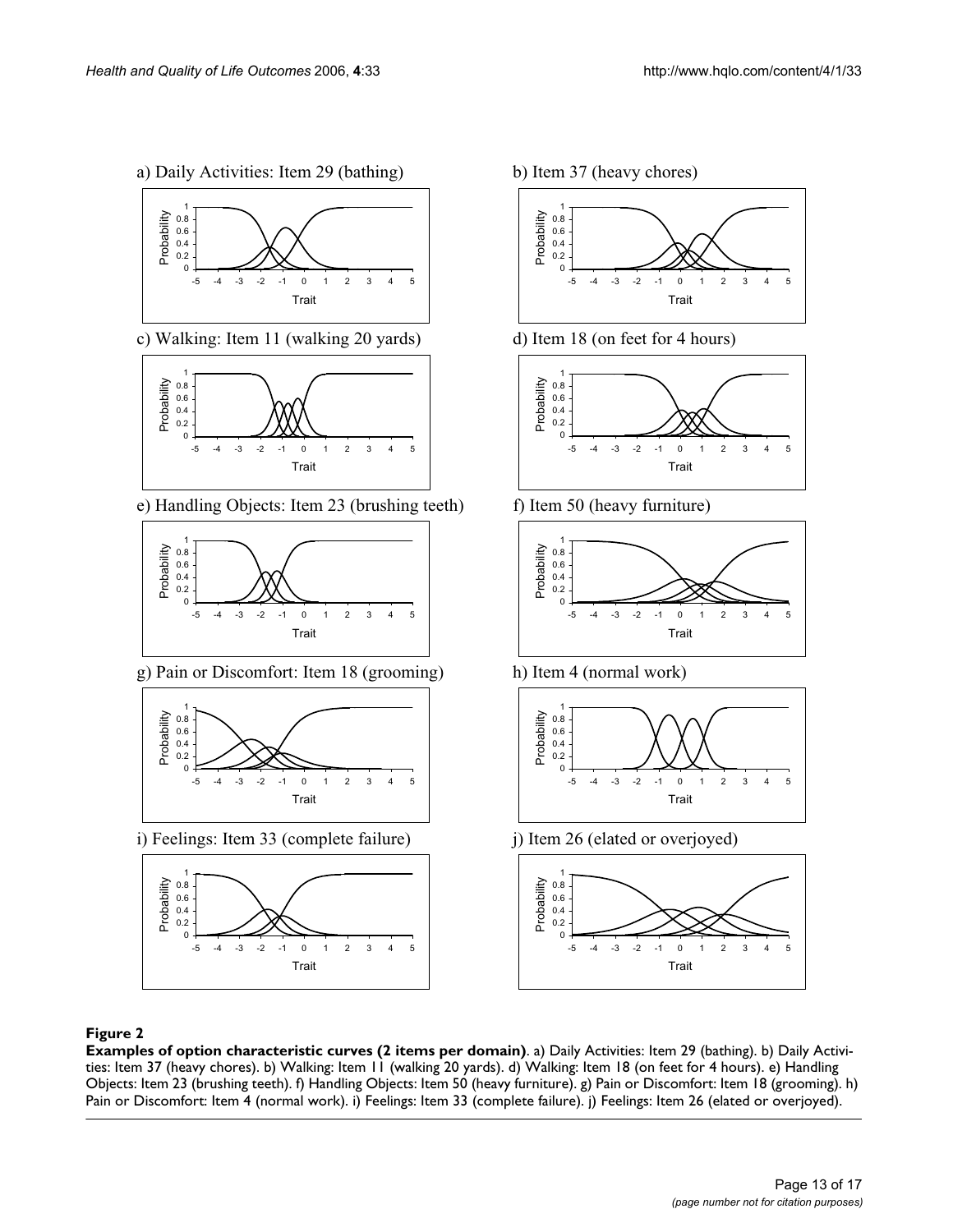

# **Figure 2**

**Examples of option characteristic curves (2 items per domain)**. a) Daily Activities: Item 29 (bathing). b) Daily Activities: Item 37 (heavy chores). b) Walking: Item 11 (walking 20 yards). d) Walking: Item 18 (on feet for 4 hours). e) Handling Objects: Item 23 (brushing teeth). f) Handling Objects: Item 50 (heavy furniture). g) Pain or Discomfort: Item 18 (grooming). h) Pain or Discomfort: Item 4 (normal work). i) Feelings: Item 33 (complete failure). j) Feelings: Item 26 (elated or overjoyed).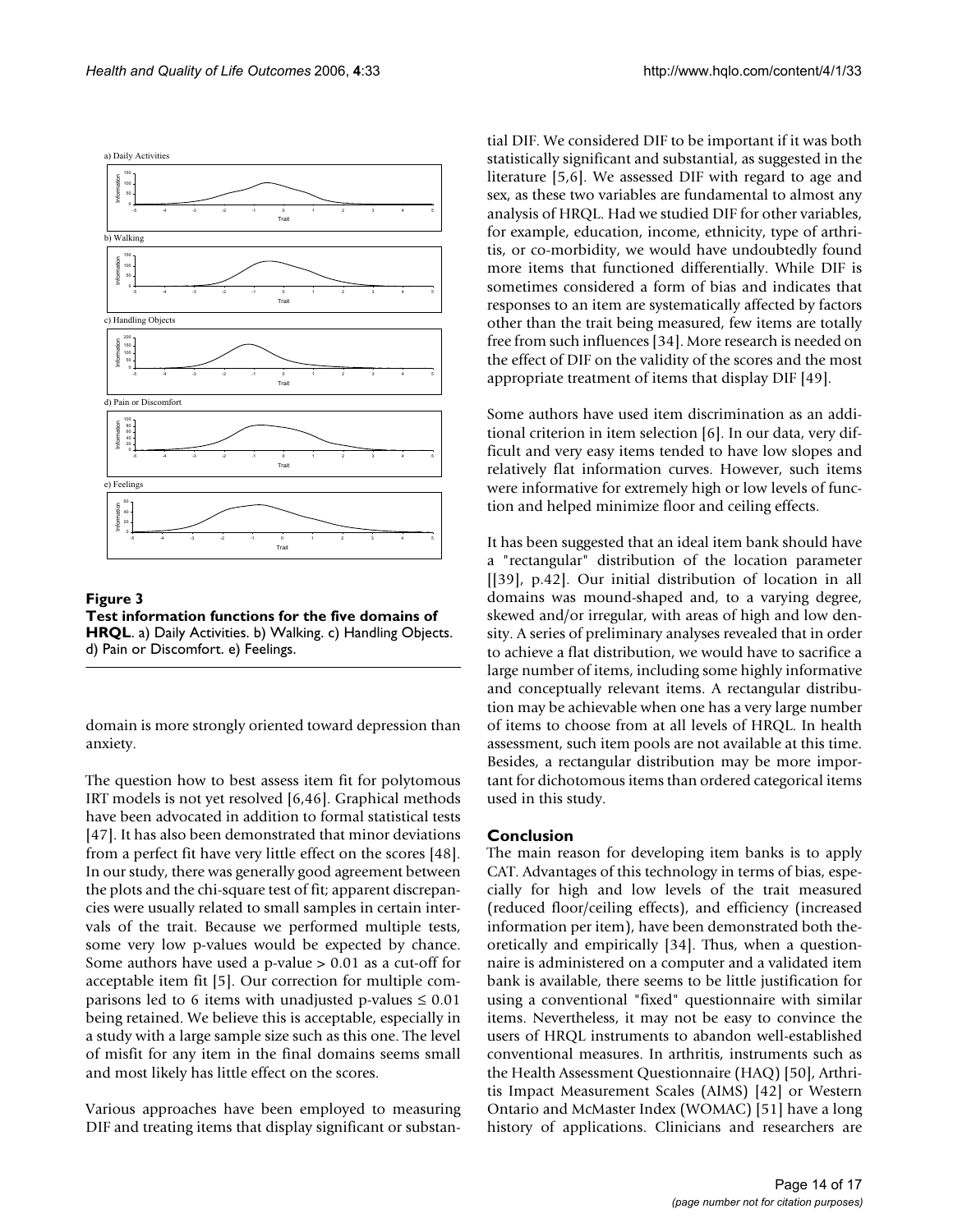

Figure 3 **Test information functions for the five domains of HRQL**. a) Daily Activities. b) Walking. c) Handling Objects. d) Pain or Discomfort. e) Feelings.

domain is more strongly oriented toward depression than anxiety.

The question how to best assess item fit for polytomous IRT models is not yet resolved [6,46]. Graphical methods have been advocated in addition to formal statistical tests [47]. It has also been demonstrated that minor deviations from a perfect fit have very little effect on the scores [48]. In our study, there was generally good agreement between the plots and the chi-square test of fit; apparent discrepancies were usually related to small samples in certain intervals of the trait. Because we performed multiple tests, some very low p-values would be expected by chance. Some authors have used a p-value > 0.01 as a cut-off for acceptable item fit [5]. Our correction for multiple comparisons led to 6 items with unadjusted p-values  $\leq 0.01$ being retained. We believe this is acceptable, especially in a study with a large sample size such as this one. The level of misfit for any item in the final domains seems small and most likely has little effect on the scores.

Various approaches have been employed to measuring DIF and treating items that display significant or substantial DIF. We considered DIF to be important if it was both statistically significant and substantial, as suggested in the literature [5,6]. We assessed DIF with regard to age and sex, as these two variables are fundamental to almost any analysis of HRQL. Had we studied DIF for other variables, for example, education, income, ethnicity, type of arthritis, or co-morbidity, we would have undoubtedly found more items that functioned differentially. While DIF is sometimes considered a form of bias and indicates that responses to an item are systematically affected by factors other than the trait being measured, few items are totally free from such influences [34]. More research is needed on the effect of DIF on the validity of the scores and the most appropriate treatment of items that display DIF [49].

Some authors have used item discrimination as an additional criterion in item selection [6]. In our data, very difficult and very easy items tended to have low slopes and relatively flat information curves. However, such items were informative for extremely high or low levels of function and helped minimize floor and ceiling effects.

It has been suggested that an ideal item bank should have a "rectangular" distribution of the location parameter [[39], p.42]. Our initial distribution of location in all domains was mound-shaped and, to a varying degree, skewed and/or irregular, with areas of high and low density. A series of preliminary analyses revealed that in order to achieve a flat distribution, we would have to sacrifice a large number of items, including some highly informative and conceptually relevant items. A rectangular distribution may be achievable when one has a very large number of items to choose from at all levels of HRQL. In health assessment, such item pools are not available at this time. Besides, a rectangular distribution may be more important for dichotomous items than ordered categorical items used in this study.

#### **Conclusion**

The main reason for developing item banks is to apply CAT. Advantages of this technology in terms of bias, especially for high and low levels of the trait measured (reduced floor/ceiling effects), and efficiency (increased information per item), have been demonstrated both theoretically and empirically [34]. Thus, when a questionnaire is administered on a computer and a validated item bank is available, there seems to be little justification for using a conventional "fixed" questionnaire with similar items. Nevertheless, it may not be easy to convince the users of HRQL instruments to abandon well-established conventional measures. In arthritis, instruments such as the Health Assessment Questionnaire (HAQ) [50], Arthritis Impact Measurement Scales (AIMS) [42] or Western Ontario and McMaster Index (WOMAC) [51] have a long history of applications. Clinicians and researchers are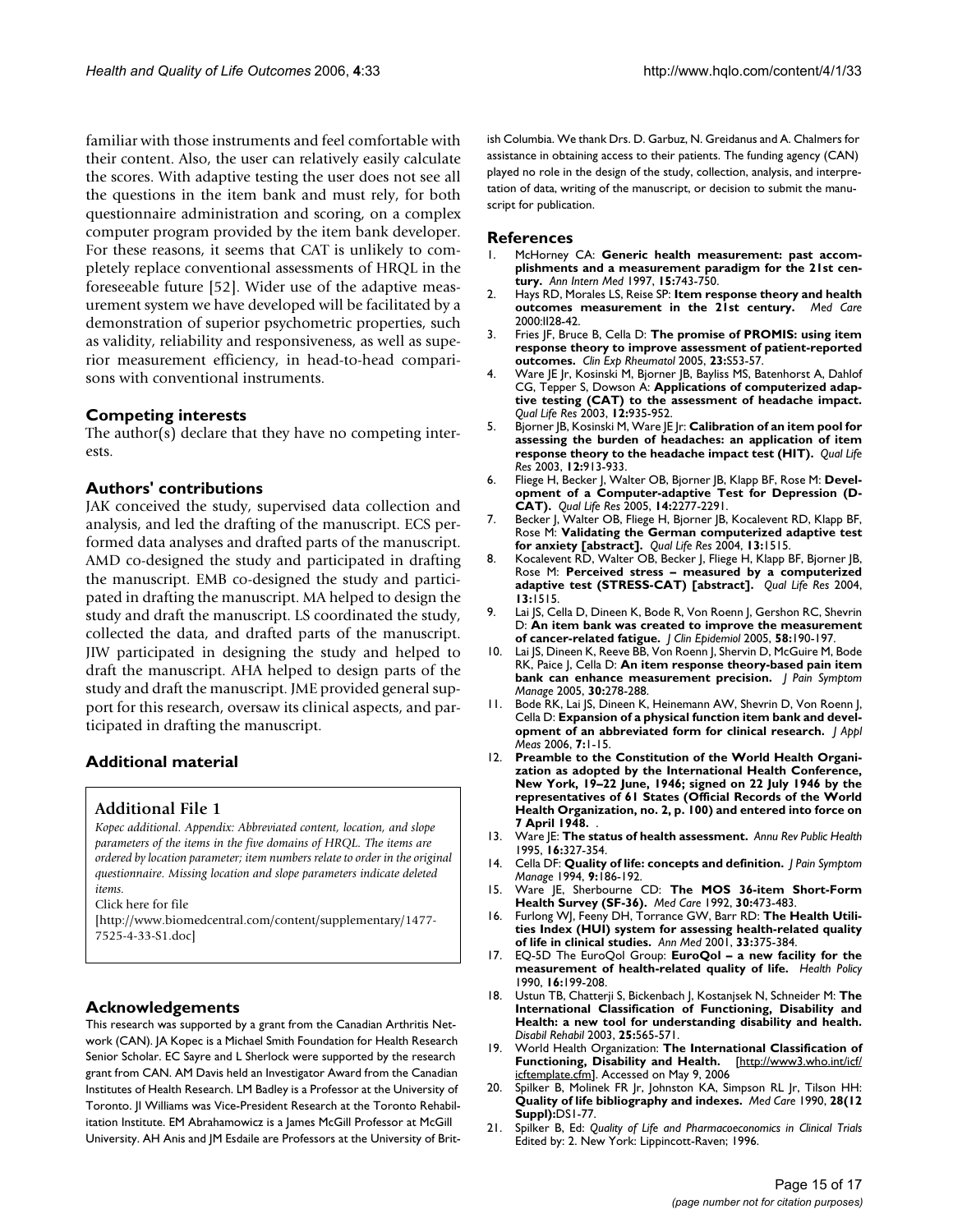familiar with those instruments and feel comfortable with their content. Also, the user can relatively easily calculate the scores. With adaptive testing the user does not see all the questions in the item bank and must rely, for both questionnaire administration and scoring, on a complex computer program provided by the item bank developer. For these reasons, it seems that CAT is unlikely to completely replace conventional assessments of HRQL in the foreseeable future [52]. Wider use of the adaptive measurement system we have developed will be facilitated by a demonstration of superior psychometric properties, such as validity, reliability and responsiveness, as well as superior measurement efficiency, in head-to-head comparisons with conventional instruments.

# **Competing interests**

The author(s) declare that they have no competing interests.

# **Authors' contributions**

JAK conceived the study, supervised data collection and analysis, and led the drafting of the manuscript. ECS performed data analyses and drafted parts of the manuscript. AMD co-designed the study and participated in drafting the manuscript. EMB co-designed the study and participated in drafting the manuscript. MA helped to design the study and draft the manuscript. LS coordinated the study, collected the data, and drafted parts of the manuscript. JIW participated in designing the study and helped to draft the manuscript. AHA helped to design parts of the study and draft the manuscript. JME provided general support for this research, oversaw its clinical aspects, and participated in drafting the manuscript.

# **Additional material**

# **Additional File 1**

*Kopec additional. Appendix: Abbreviated content, location, and slope parameters of the items in the five domains of HRQL. The items are ordered by location parameter; item numbers relate to order in the original questionnaire. Missing location and slope parameters indicate deleted items.*

Click here for file

[\[http://www.biomedcentral.com/content/supplementary/1477-](http://www.biomedcentral.com/content/supplementary/1477-7525-4-33-S1.doc) 7525-4-33-S1.doc]

# **Acknowledgements**

This research was supported by a grant from the Canadian Arthritis Network (CAN). JA Kopec is a Michael Smith Foundation for Health Research Senior Scholar. EC Sayre and L Sherlock were supported by the research grant from CAN. AM Davis held an Investigator Award from the Canadian Institutes of Health Research. LM Badley is a Professor at the University of Toronto. JI Williams was Vice-President Research at the Toronto Rehabilitation Institute. EM Abrahamowicz is a James McGill Professor at McGill University. AH Anis and JM Esdaile are Professors at the University of British Columbia. We thank Drs. D. Garbuz, N. Greidanus and A. Chalmers for assistance in obtaining access to their patients. The funding agency (CAN) played no role in the design of the study, collection, analysis, and interpretation of data, writing of the manuscript, or decision to submit the manuscript for publication.

#### **References**

- 1. McHorney CA: **Generic health measurement: past accomplishments and a measurement paradigm for the 21st century.** *Ann Intern Med* 1997, **15:**743-750.
- 2. Hays RD, Morales LS, Reise SP: **Item response theory and health outcomes measurement in the 21st century.** *Med Care* 2000:II28-42.
- 3. Fries JF, Bruce B, Cella D: **[The promise of PROMIS: using item](http://www.ncbi.nlm.nih.gov/entrez/query.fcgi?cmd=Retrieve&db=PubMed&dopt=Abstract&list_uids=16273785) [response theory to improve assessment of patient-reported](http://www.ncbi.nlm.nih.gov/entrez/query.fcgi?cmd=Retrieve&db=PubMed&dopt=Abstract&list_uids=16273785) [outcomes.](http://www.ncbi.nlm.nih.gov/entrez/query.fcgi?cmd=Retrieve&db=PubMed&dopt=Abstract&list_uids=16273785)** *Clin Exp Rheumatol* 2005, **23:**S53-57.
- 4. Ware JE Jr, Kosinski M, Bjorner JB, Bayliss MS, Batenhorst A, Dahlof CG, Tepper S, Dowson A: **[Applications of computerized adap](http://www.ncbi.nlm.nih.gov/entrez/query.fcgi?cmd=Retrieve&db=PubMed&dopt=Abstract&list_uids=14651413)[tive testing \(CAT\) to the assessment of headache impact.](http://www.ncbi.nlm.nih.gov/entrez/query.fcgi?cmd=Retrieve&db=PubMed&dopt=Abstract&list_uids=14651413)** *Qual Life Res* 2003, **12:**935-952.
- 5. Bjorner JB, Kosinski M, Ware JE Jr: **[Calibration of an item pool for](http://www.ncbi.nlm.nih.gov/entrez/query.fcgi?cmd=Retrieve&db=PubMed&dopt=Abstract&list_uids=14651412) [assessing the burden of headaches: an application of item](http://www.ncbi.nlm.nih.gov/entrez/query.fcgi?cmd=Retrieve&db=PubMed&dopt=Abstract&list_uids=14651412) [response theory to the headache impact test \(HIT\).](http://www.ncbi.nlm.nih.gov/entrez/query.fcgi?cmd=Retrieve&db=PubMed&dopt=Abstract&list_uids=14651412)** *Qual Life Res* 2003, **12:**913-933.
- 6. Fliege H, Becker J, Walter OB, Bjorner JB, Klapp BF, Rose M: **[Devel](http://www.ncbi.nlm.nih.gov/entrez/query.fcgi?cmd=Retrieve&db=PubMed&dopt=Abstract&list_uids=16328907)[opment of a Computer-adaptive Test for Depression \(D-](http://www.ncbi.nlm.nih.gov/entrez/query.fcgi?cmd=Retrieve&db=PubMed&dopt=Abstract&list_uids=16328907)[CAT\).](http://www.ncbi.nlm.nih.gov/entrez/query.fcgi?cmd=Retrieve&db=PubMed&dopt=Abstract&list_uids=16328907)** *Qual Life Res* 2005, **14:**2277-2291.
- 7. Becker J, Walter OB, Fliege H, Bjorner JB, Kocalevent RD, Klapp BF, Rose M: **Validating the German computerized adaptive test for anxiety [abstract].** *Qual Life Res* 2004, **13:**1515.
- 8. Kocalevent RD, Walter OB, Becker J, Fliege H, Klapp BF, Bjorner JB, Rose M: **Perceived stress – measured by a computerized adaptive test (STRESS-CAT) [abstract].** *Qual Life Res* 2004, **13:**1515.
- 9. Lai JS, Cella D, Dineen K, Bode R, Von Roenn J, Gershon RC, Shevrin D: **[An item bank was created to improve the measurement](http://www.ncbi.nlm.nih.gov/entrez/query.fcgi?cmd=Retrieve&db=PubMed&dopt=Abstract&list_uids=15680754) [of cancer-related fatigue.](http://www.ncbi.nlm.nih.gov/entrez/query.fcgi?cmd=Retrieve&db=PubMed&dopt=Abstract&list_uids=15680754)** *J Clin Epidemiol* 2005, **58:**190-197.
- 10. Lai JS, Dineen K, Reeve BB, Von Roenn J, Shervin D, McGuire M, Bode RK, Paice J, Cella D: **[An item response theory-based pain item](http://www.ncbi.nlm.nih.gov/entrez/query.fcgi?cmd=Retrieve&db=PubMed&dopt=Abstract&list_uids=16183012) [bank can enhance measurement precision.](http://www.ncbi.nlm.nih.gov/entrez/query.fcgi?cmd=Retrieve&db=PubMed&dopt=Abstract&list_uids=16183012)** *J Pain Symptom Manage* 2005, **30:**278-288.
- 11. Bode RK, Lai JS, Dineen K, Heinemann AW, Shevrin D, Von Roenn J, Cella D: **[Expansion of a physical function item bank and devel](http://www.ncbi.nlm.nih.gov/entrez/query.fcgi?cmd=Retrieve&db=PubMed&dopt=Abstract&list_uids=16385148)[opment of an abbreviated form for clinical research.](http://www.ncbi.nlm.nih.gov/entrez/query.fcgi?cmd=Retrieve&db=PubMed&dopt=Abstract&list_uids=16385148)** *J Appl Meas* 2006, **7:**1-15.
- 12. **Preamble to the Constitution of the World Health Organization as adopted by the International Health Conference, New York, 19–22 June, 1946; signed on 22 July 1946 by the representatives of 61 States (Official Records of the World Health Organization, no. 2, p. 100) and entered into force on 7 April 1948.** .
- 13. Ware JE: **[The status of health assessment.](http://www.ncbi.nlm.nih.gov/entrez/query.fcgi?cmd=Retrieve&db=PubMed&dopt=Abstract&list_uids=7639876)** *Annu Rev Public Health* 1995, **16:**327-354.
- 14. Cella DF: **[Quality of life: concepts and definition.](http://www.ncbi.nlm.nih.gov/entrez/query.fcgi?cmd=Retrieve&db=PubMed&dopt=Abstract&list_uids=8014530)** *J Pain Symptom Manage* 1994, **9:**186-192.
- 15. Ware JE, Sherbourne CD: **[The MOS 36-item Short-Form](http://www.ncbi.nlm.nih.gov/entrez/query.fcgi?cmd=Retrieve&db=PubMed&dopt=Abstract&list_uids=1593914) [Health Survey \(SF-36\).](http://www.ncbi.nlm.nih.gov/entrez/query.fcgi?cmd=Retrieve&db=PubMed&dopt=Abstract&list_uids=1593914)** *Med Care* 1992, **30:**473-483.
- 16. Furlong WJ, Feeny DH, Torrance GW, Barr RD: **[The Health Utili](http://www.ncbi.nlm.nih.gov/entrez/query.fcgi?cmd=Retrieve&db=PubMed&dopt=Abstract&list_uids=11491197)[ties Index \(HUI\) system for assessing health-related quality](http://www.ncbi.nlm.nih.gov/entrez/query.fcgi?cmd=Retrieve&db=PubMed&dopt=Abstract&list_uids=11491197) [of life in clinical studies.](http://www.ncbi.nlm.nih.gov/entrez/query.fcgi?cmd=Retrieve&db=PubMed&dopt=Abstract&list_uids=11491197)** *Ann Med* 2001, **33:**375-384.
- 17. EQ-5D The EuroQol Group: **[EuroQol a new facility for the](http://www.ncbi.nlm.nih.gov/entrez/query.fcgi?cmd=Retrieve&db=PubMed&dopt=Abstract&list_uids=10109801) [measurement of health-related quality of life.](http://www.ncbi.nlm.nih.gov/entrez/query.fcgi?cmd=Retrieve&db=PubMed&dopt=Abstract&list_uids=10109801)** *Health Policy* 1990, **16:**199-208.
- 18. Ustun TB, Chatterji S, Bickenbach J, Kostanjsek N, Schneider M: **[The](http://www.ncbi.nlm.nih.gov/entrez/query.fcgi?cmd=Retrieve&db=PubMed&dopt=Abstract&list_uids=12959329) [International Classification of Functioning, Disability and](http://www.ncbi.nlm.nih.gov/entrez/query.fcgi?cmd=Retrieve&db=PubMed&dopt=Abstract&list_uids=12959329) Health: a new tool for understanding disability and health.** *Disabil Rehabil* 2003, **25:**565-571.
- 19. World Health Organization: **The International Classification of Functioning, Disability and Health.** [\[http://www3.who.int/icf/](http://www3.who.int/icf/icftemplate.cfm) [icftemplate.cfm](http://www3.who.int/icf/icftemplate.cfm)]. Accessed on May 9, 2006
- 20. Spilker B, Molinek FR Jr, Johnston KA, Simpson RL Jr, Tilson HH: **[Quality of life bibliography and indexes.](http://www.ncbi.nlm.nih.gov/entrez/query.fcgi?cmd=Retrieve&db=PubMed&dopt=Abstract&list_uids=2246942)** *Med Care* 1990, **28(12 Suppl):**DS1-77.
- 21. Spilker B, Ed: *Quality of Life and Pharmacoeconomics in Clinical Trials* Edited by: 2. New York: Lippincott-Raven; 1996.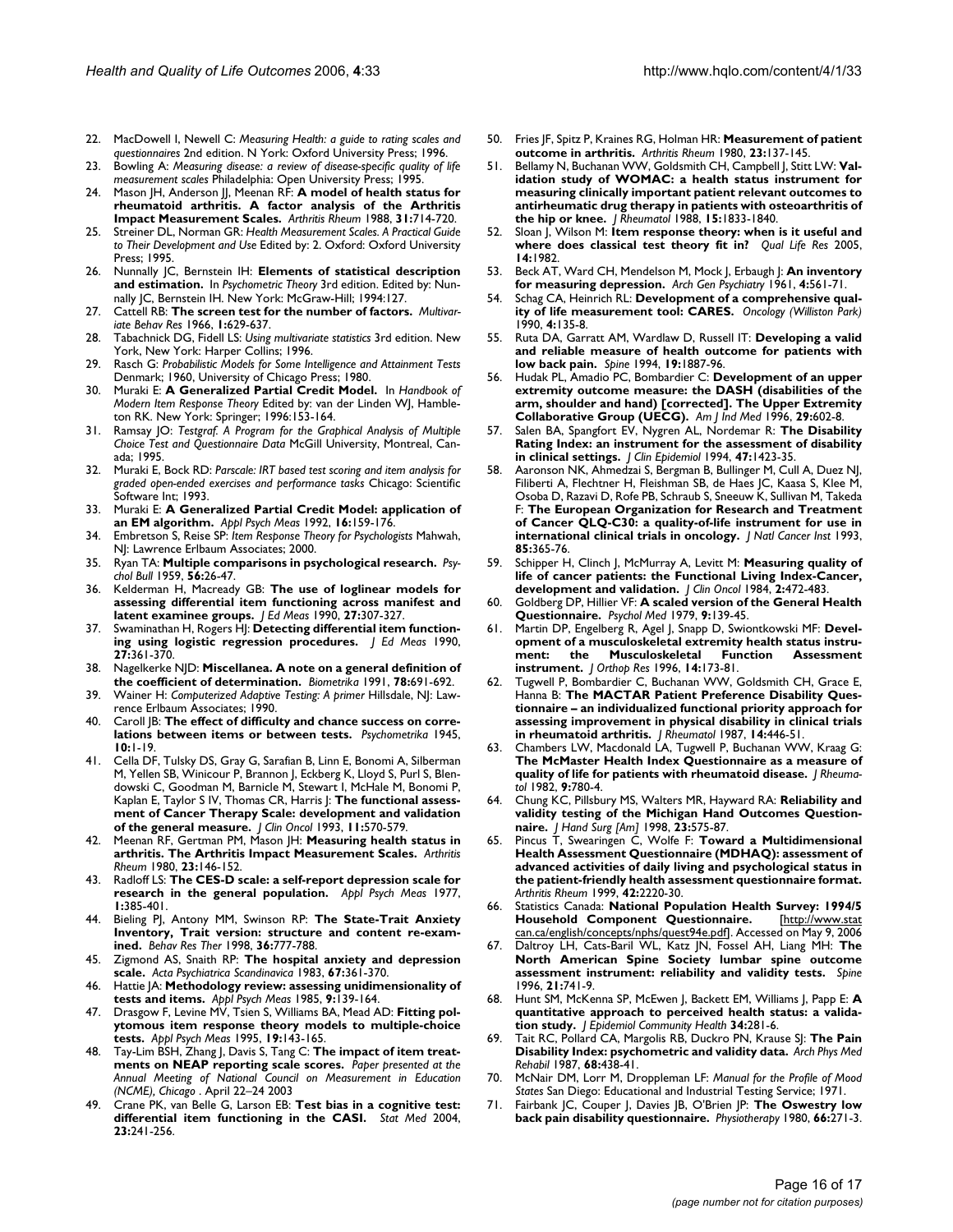- 22. MacDowell I, Newell C: *Measuring Health: a guide to rating scales and questionnaires* 2nd edition. N York: Oxford University Press; 1996.
- 23. Bowling A: *Measuring disease: a review of disease-specific quality of life measurement scales* Philadelphia: Open University Press; 1995.
- 24. Mason JH, Anderson JJ, Meenan RF: [A model of health status for](http://www.ncbi.nlm.nih.gov/entrez/query.fcgi?cmd=Retrieve&db=PubMed&dopt=Abstract&list_uids=3382446) **[rheumatoid arthritis. A factor analysis of the Arthritis](http://www.ncbi.nlm.nih.gov/entrez/query.fcgi?cmd=Retrieve&db=PubMed&dopt=Abstract&list_uids=3382446) [Impact Measurement Scales.](http://www.ncbi.nlm.nih.gov/entrez/query.fcgi?cmd=Retrieve&db=PubMed&dopt=Abstract&list_uids=3382446)** *Arthritis Rheum* 1988, **31:**714-720.
- 25. Streiner DL, Norman GR: *Health Measurement Scales. A Practical Guide to Their Development and Use* Edited by: 2. Oxford: Oxford University Press; 1995.
- 26. Nunnally JC, Bernstein IH: **Elements of statistical description and estimation.** In *Psychometric Theory* 3rd edition. Edited by: Nunnally JC, Bernstein IH. New York: McGraw-Hill; 1994:127.
- 27. Cattell RB: **The screen test for the number of factors.** *Multivariate Behav Res* 1966, **1:**629-637.
- 28. Tabachnick DG, Fidell LS: *Using multivariate statistics* 3rd edition. New York, New York: Harper Collins; 1996.
- 29. Rasch G: *Probabilistic Models for Some Intelligence and Attainment Tests* Denmark; 1960, University of Chicago Press; 1980.
- 30. Muraki E: **A Generalized Partial Credit Model.** In *Handbook of Modern Item Response Theory* Edited by: van der Linden WJ, Hambleton RK. New York: Springer; 1996:153-164.
- 31. Ramsay JO: *Testgraf. A Program for the Graphical Analysis of Multiple Choice Test and Questionnaire Data* McGill University, Montreal, Canada; 1995.
- 32. Muraki E, Bock RD: *Parscale: IRT based test scoring and item analysis for graded open-ended exercises and performance tasks* Chicago: Scientific Software Int; 1993.
- 33. Muraki E: **A Generalized Partial Credit Model: application of an EM algorithm.** *Appl Psych Meas* 1992, **16:**159-176.
- 34. Embretson S, Reise SP: *Item Response Theory for Psychologists* Mahwah, NJ: Lawrence Erlbaum Associates; 2000.
- 35. Ryan TA: **[Multiple comparisons in psychological research.](http://www.ncbi.nlm.nih.gov/entrez/query.fcgi?cmd=Retrieve&db=PubMed&dopt=Abstract&list_uids=13623958)** *Psychol Bull* 1959, **56:**26-47.
- 36. Kelderman H, Macready GB: **The use of loglinear models for assessing differential item functioning across manifest and latent examinee groups.** *J Ed Meas* 1990, **27:**307-327.
- 37. Swaminathan H, Rogers HJ: **Detecting differential item functioning using logistic regression procedures.** *J Ed Meas* 1990, **27:**361-370.
- 38. Nagelkerke NJD: **Miscellanea. A note on a general definition of the coefficient of determination.** *Biometrika* 1991, **78:**691-692.
- 39. Wainer H: *Computerized Adaptive Testing: A primer* Hillsdale, NJ: Lawrence Erlbaum Associates; 1990.
- 40. Caroll JB: **The effect of difficulty and chance success on correlations between items or between tests.** *Psychometrika* 1945, **10:**1-19.
- 41. Cella DF, Tulsky DS, Gray G, Sarafian B, Linn E, Bonomi A, Silberman M, Yellen SB, Winicour P, Brannon J, Eckberg K, Lloyd S, Purl S, Blendowski C, Goodman M, Barnicle M, Stewart I, McHale M, Bonomi P, Kaplan E, Taylor S IV, Thomas CR, Harris J: **[The functional assess](http://www.ncbi.nlm.nih.gov/entrez/query.fcgi?cmd=Retrieve&db=PubMed&dopt=Abstract&list_uids=8445433)[ment of Cancer Therapy Scale: development and validation](http://www.ncbi.nlm.nih.gov/entrez/query.fcgi?cmd=Retrieve&db=PubMed&dopt=Abstract&list_uids=8445433) [of the general measure.](http://www.ncbi.nlm.nih.gov/entrez/query.fcgi?cmd=Retrieve&db=PubMed&dopt=Abstract&list_uids=8445433)** *J Clin Oncol* 1993, **11:**570-579.
- 42. Meenan RF, Gertman PM, Mason JH: **[Measuring health status in](http://www.ncbi.nlm.nih.gov/entrez/query.fcgi?cmd=Retrieve&db=PubMed&dopt=Abstract&list_uids=7362665) [arthritis. The Arthritis Impact Measurement Scales.](http://www.ncbi.nlm.nih.gov/entrez/query.fcgi?cmd=Retrieve&db=PubMed&dopt=Abstract&list_uids=7362665)** *Arthritis Rheum* 1980, **23:**146-152.
- 43. Radloff LS: **The CES-D scale: a self-report depression scale for research in the general population.** *Appl Psych Meas* 1977, **1:**385-401.
- 44. Bieling PJ, Antony MM, Swinson RP: **[The State-Trait Anxiety](http://www.ncbi.nlm.nih.gov/entrez/query.fcgi?cmd=Retrieve&db=PubMed&dopt=Abstract&list_uids=9682533) [Inventory, Trait version: structure and content re-exam](http://www.ncbi.nlm.nih.gov/entrez/query.fcgi?cmd=Retrieve&db=PubMed&dopt=Abstract&list_uids=9682533)[ined.](http://www.ncbi.nlm.nih.gov/entrez/query.fcgi?cmd=Retrieve&db=PubMed&dopt=Abstract&list_uids=9682533)** *Behav Res Ther* 1998, **36:**777-788.
- 45. Zigmond AS, Snaith RP: **[The hospital anxiety and depression](http://www.ncbi.nlm.nih.gov/entrez/query.fcgi?cmd=Retrieve&db=PubMed&dopt=Abstract&list_uids=6880820) [scale.](http://www.ncbi.nlm.nih.gov/entrez/query.fcgi?cmd=Retrieve&db=PubMed&dopt=Abstract&list_uids=6880820)** *Acta Psychiatrica Scandinavica* 1983, **67:**361-370.
- 46. Hattie JA: **Methodology review: assessing unidimensionality of tests and items.** *Appl Psych Meas* 1985, **9:**139-164.
- 47. Drasgow F, Levine MV, Tsien S, Williams BA, Mead AD: **Fitting polytomous item response theory models to multiple-choice tests.** *Appl Psych Meas* 1995, **19:**143-165.
- 48. Tay-Lim BSH, Zhang J, Davis S, Tang C: **The impact of item treatments on NEAP reporting scale scores.** *Paper presented at the Annual Meeting of National Council on Measurement in Education (NCME), Chicago* . April 22–24 2003
- 49. Crane PK, van Belle G, Larson EB: **[Test bias in a cognitive test:](http://www.ncbi.nlm.nih.gov/entrez/query.fcgi?cmd=Retrieve&db=PubMed&dopt=Abstract&list_uids=14716726) [differential item functioning in the CASI.](http://www.ncbi.nlm.nih.gov/entrez/query.fcgi?cmd=Retrieve&db=PubMed&dopt=Abstract&list_uids=14716726)** *Stat Med* 2004, **23:**241-256.
- 50. Fries JF, Spitz P, Kraines RG, Holman HR: **[Measurement of patient](http://www.ncbi.nlm.nih.gov/entrez/query.fcgi?cmd=Retrieve&db=PubMed&dopt=Abstract&list_uids=7362664) [outcome in arthritis.](http://www.ncbi.nlm.nih.gov/entrez/query.fcgi?cmd=Retrieve&db=PubMed&dopt=Abstract&list_uids=7362664)** *Arthritis Rheum* 1980, **23:**137-145.
- 51. Bellamy N, Buchanan WW, Goldsmith CH, Campbell J, Stitt LW: **[Val](http://www.ncbi.nlm.nih.gov/entrez/query.fcgi?cmd=Retrieve&db=PubMed&dopt=Abstract&list_uids=3068365)[idation study of WOMAC: a health status instrument for](http://www.ncbi.nlm.nih.gov/entrez/query.fcgi?cmd=Retrieve&db=PubMed&dopt=Abstract&list_uids=3068365) measuring clinically important patient relevant outcomes to antirheumatic drug therapy in patients with osteoarthritis of [the hip or knee.](http://www.ncbi.nlm.nih.gov/entrez/query.fcgi?cmd=Retrieve&db=PubMed&dopt=Abstract&list_uids=3068365)** *J Rheumatol* 1988, **15:**1833-1840.
- Sloan J, Wilson M: Item response theory: when is it useful and **where does classical test theory fit in?** *Qual Life Res* 2005, **14:**1982.
- 53. Beck AT, Ward CH, Mendelson M, Mock J, Erbaugh J: **[An inventory](http://www.ncbi.nlm.nih.gov/entrez/query.fcgi?cmd=Retrieve&db=PubMed&dopt=Abstract&list_uids=13688369) [for measuring depression.](http://www.ncbi.nlm.nih.gov/entrez/query.fcgi?cmd=Retrieve&db=PubMed&dopt=Abstract&list_uids=13688369)** *Arch Gen Psychiatry* 1961, **4:**561-71.
- Schag CA, Heinrich RL: [Development of a comprehensive qual](http://www.ncbi.nlm.nih.gov/entrez/query.fcgi?cmd=Retrieve&db=PubMed&dopt=Abstract&list_uids=2143399)**[ity of life measurement tool: CARES.](http://www.ncbi.nlm.nih.gov/entrez/query.fcgi?cmd=Retrieve&db=PubMed&dopt=Abstract&list_uids=2143399)** *Oncology (Williston Park)* 1990, **4:**135-8.
- 55. Ruta DA, Garratt AM, Wardlaw D, Russell IT: **[Developing a valid](http://www.ncbi.nlm.nih.gov/entrez/query.fcgi?cmd=Retrieve&db=PubMed&dopt=Abstract&list_uids=7997920) [and reliable measure of health outcome for patients with](http://www.ncbi.nlm.nih.gov/entrez/query.fcgi?cmd=Retrieve&db=PubMed&dopt=Abstract&list_uids=7997920) [low back pain.](http://www.ncbi.nlm.nih.gov/entrez/query.fcgi?cmd=Retrieve&db=PubMed&dopt=Abstract&list_uids=7997920)** *Spine* 1994, **19:**1887-96.
- 56. Hudak PL, Amadio PC, Bombardier C: **[Development of an upper](http://www.ncbi.nlm.nih.gov/entrez/query.fcgi?cmd=Retrieve&db=PubMed&dopt=Abstract&list_uids=8773720) [extremity outcome measure: the DASH \(disabilities of the](http://www.ncbi.nlm.nih.gov/entrez/query.fcgi?cmd=Retrieve&db=PubMed&dopt=Abstract&list_uids=8773720) arm, shoulder and hand) [corrected]. The Upper Extremity [Collaborative Group \(UECG\).](http://www.ncbi.nlm.nih.gov/entrez/query.fcgi?cmd=Retrieve&db=PubMed&dopt=Abstract&list_uids=8773720)** *Am J Ind Med* 1996, **29:**602-8.
- 57. Salen BA, Spangfort EV, Nygren AL, Nordemar R: **[The Disability](http://www.ncbi.nlm.nih.gov/entrez/query.fcgi?cmd=Retrieve&db=PubMed&dopt=Abstract&list_uids=7730851) [Rating Index: an instrument for the assessment of disability](http://www.ncbi.nlm.nih.gov/entrez/query.fcgi?cmd=Retrieve&db=PubMed&dopt=Abstract&list_uids=7730851) [in clinical settings.](http://www.ncbi.nlm.nih.gov/entrez/query.fcgi?cmd=Retrieve&db=PubMed&dopt=Abstract&list_uids=7730851)** *J Clin Epidemiol* 1994, **47:**1423-35.
- Aaronson NK, Ahmedzai S, Bergman B, Bullinger M, Cull A, Duez NJ, Filiberti A, Flechtner H, Fleishman SB, de Haes JC, Kaasa S, Klee M, Osoba D, Razavi D, Rofe PB, Schraub S, Sneeuw K, Sullivan M, Takeda F: **[The European Organization for Research and Treatment](http://www.ncbi.nlm.nih.gov/entrez/query.fcgi?cmd=Retrieve&db=PubMed&dopt=Abstract&list_uids=8433390) [of Cancer QLQ-C30: a quality-of-life instrument for use in](http://www.ncbi.nlm.nih.gov/entrez/query.fcgi?cmd=Retrieve&db=PubMed&dopt=Abstract&list_uids=8433390) [international clinical trials in oncology.](http://www.ncbi.nlm.nih.gov/entrez/query.fcgi?cmd=Retrieve&db=PubMed&dopt=Abstract&list_uids=8433390)** *J Natl Cancer Inst* 1993, **85:**365-76.
- 59. Schipper H, Clinch J, McMurray A, Levitt M: **[Measuring quality of](http://www.ncbi.nlm.nih.gov/entrez/query.fcgi?cmd=Retrieve&db=PubMed&dopt=Abstract&list_uids=6374052) [life of cancer patients: the Functional Living Index-Cancer,](http://www.ncbi.nlm.nih.gov/entrez/query.fcgi?cmd=Retrieve&db=PubMed&dopt=Abstract&list_uids=6374052) [development and validation.](http://www.ncbi.nlm.nih.gov/entrez/query.fcgi?cmd=Retrieve&db=PubMed&dopt=Abstract&list_uids=6374052)** *J Clin Oncol* 1984, **2:**472-483.
- 60. Goldberg DP, Hillier VF: **[A scaled version of the General Health](http://www.ncbi.nlm.nih.gov/entrez/query.fcgi?cmd=Retrieve&db=PubMed&dopt=Abstract&list_uids=424481) [Questionnaire.](http://www.ncbi.nlm.nih.gov/entrez/query.fcgi?cmd=Retrieve&db=PubMed&dopt=Abstract&list_uids=424481)** *Psychol Med* 1979, **9:**139-45.
- 61. Martin DP, Engelberg R, Agel J, Snapp D, Swiontkowski MF: **[Devel](http://www.ncbi.nlm.nih.gov/entrez/query.fcgi?cmd=Retrieve&db=PubMed&dopt=Abstract&list_uids=8648493)[opment of a musculoskeletal extremity health status instru-](http://www.ncbi.nlm.nih.gov/entrez/query.fcgi?cmd=Retrieve&db=PubMed&dopt=Abstract&list_uids=8648493)Musculoskeletal [instrument.](http://www.ncbi.nlm.nih.gov/entrez/query.fcgi?cmd=Retrieve&db=PubMed&dopt=Abstract&list_uids=8648493)** *J Orthop Res* 1996, **14:**173-81.
- 62. Tugwell P, Bombardier C, Buchanan WW, Goldsmith CH, Grace E, Hanna B: **[The MACTAR Patient Preference Disability Ques](http://www.ncbi.nlm.nih.gov/entrez/query.fcgi?cmd=Retrieve&db=PubMed&dopt=Abstract&list_uids=3305931)[tionnaire – an individualized functional priority approach for](http://www.ncbi.nlm.nih.gov/entrez/query.fcgi?cmd=Retrieve&db=PubMed&dopt=Abstract&list_uids=3305931) assessing improvement in physical disability in clinical trials [in rheumatoid arthritis.](http://www.ncbi.nlm.nih.gov/entrez/query.fcgi?cmd=Retrieve&db=PubMed&dopt=Abstract&list_uids=3305931)** *J Rheumatol* 1987, **14:**446-51.
- 63. Chambers LW, Macdonald LA, Tugwell P, Buchanan WW, Kraag G: **[The McMaster Health Index Questionnaire as a measure of](http://www.ncbi.nlm.nih.gov/entrez/query.fcgi?cmd=Retrieve&db=PubMed&dopt=Abstract&list_uids=6757424) [quality of life for patients with rheumatoid disease.](http://www.ncbi.nlm.nih.gov/entrez/query.fcgi?cmd=Retrieve&db=PubMed&dopt=Abstract&list_uids=6757424)** *J Rheumatol* 1982, **9:**780-4.
- 64. Chung KC, Pillsbury MS, Walters MR, Hayward RA: **[Reliability and](http://www.ncbi.nlm.nih.gov/entrez/query.fcgi?cmd=Retrieve&db=PubMed&dopt=Abstract&list_uids=9708370) [validity testing of the Michigan Hand Outcomes Question](http://www.ncbi.nlm.nih.gov/entrez/query.fcgi?cmd=Retrieve&db=PubMed&dopt=Abstract&list_uids=9708370)[naire.](http://www.ncbi.nlm.nih.gov/entrez/query.fcgi?cmd=Retrieve&db=PubMed&dopt=Abstract&list_uids=9708370)** *J Hand Surg [Am]* 1998, **23:**575-87.
- 65. Pincus T, Swearingen C, Wolfe F: **[Toward a Multidimensional](http://www.ncbi.nlm.nih.gov/entrez/query.fcgi?cmd=Retrieve&db=PubMed&dopt=Abstract&list_uids=10524697) [Health Assessment Questionnaire \(MDHAQ\): assessment of](http://www.ncbi.nlm.nih.gov/entrez/query.fcgi?cmd=Retrieve&db=PubMed&dopt=Abstract&list_uids=10524697) advanced activities of daily living and psychological status in the patient-friendly health assessment questionnaire format.** *Arthritis Rheum* 1999, **42:**2220-30.
- 66. Statistics Canada: **National Population Health Survey: 1994/5 Household Component Questionnaire.** [[http://www.stat](http://www.statcan.ca/english/concepts/nphs/quest94e.pdf) [can.ca/english/concepts/nphs/quest94e.pdf\]](http://www.statcan.ca/english/concepts/nphs/quest94e.pdf). Accessed on May 9, 2006
- 67. Daltroy LH, Cats-Baril WL, Katz JN, Fossel AH, Liang MH: **[The](http://www.ncbi.nlm.nih.gov/entrez/query.fcgi?cmd=Retrieve&db=PubMed&dopt=Abstract&list_uids=8882698) [North American Spine Society lumbar spine outcome](http://www.ncbi.nlm.nih.gov/entrez/query.fcgi?cmd=Retrieve&db=PubMed&dopt=Abstract&list_uids=8882698) [assessment instrument: reliability and validity tests.](http://www.ncbi.nlm.nih.gov/entrez/query.fcgi?cmd=Retrieve&db=PubMed&dopt=Abstract&list_uids=8882698)** *Spine* 1996, **21:**741-9.
- 68. Hunt SM, McKenna SP, McEwen J, Backett EM, Williams J, Papp E: **[A](http://www.ncbi.nlm.nih.gov/entrez/query.fcgi?cmd=Retrieve&db=PubMed&dopt=Abstract&list_uids=7241028) [quantitative approach to perceived health status: a valida](http://www.ncbi.nlm.nih.gov/entrez/query.fcgi?cmd=Retrieve&db=PubMed&dopt=Abstract&list_uids=7241028)[tion study.](http://www.ncbi.nlm.nih.gov/entrez/query.fcgi?cmd=Retrieve&db=PubMed&dopt=Abstract&list_uids=7241028)** *J Epidemiol Community Health* **34:**281-6.
- 69. Tait RC, Pollard CA, Margolis RB, Duckro PN, Krause SJ: **[The Pain](http://www.ncbi.nlm.nih.gov/entrez/query.fcgi?cmd=Retrieve&db=PubMed&dopt=Abstract&list_uids=3606368) [Disability Index: psychometric and validity data.](http://www.ncbi.nlm.nih.gov/entrez/query.fcgi?cmd=Retrieve&db=PubMed&dopt=Abstract&list_uids=3606368)** *Arch Phys Med Rehabil* 1987, **68:**438-41.
- 70. McNair DM, Lorr M, Droppleman LF: *Manual for the Profile of Mood States* San Diego: Educational and Industrial Testing Service; 1971.
- 71. Fairbank JC, Couper J, Davies JB, O'Brien JP: **[The Oswestry low](http://www.ncbi.nlm.nih.gov/entrez/query.fcgi?cmd=Retrieve&db=PubMed&dopt=Abstract&list_uids=6450426) [back pain disability questionnaire.](http://www.ncbi.nlm.nih.gov/entrez/query.fcgi?cmd=Retrieve&db=PubMed&dopt=Abstract&list_uids=6450426)** *Physiotherapy* 1980, **66:**271-3.